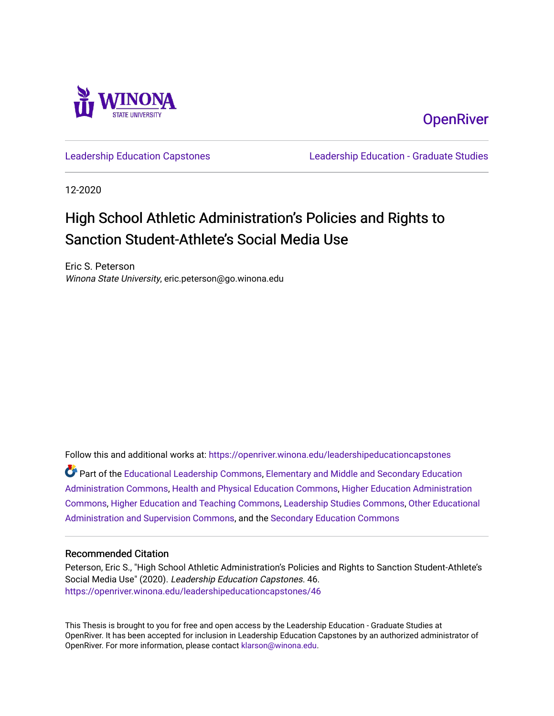

**OpenRiver** 

[Leadership Education Capstones](https://openriver.winona.edu/leadershipeducationcapstones) [Leadership Education - Graduate Studies](https://openriver.winona.edu/leadershipeducation) 

12-2020

# High School Athletic Administration's Policies and Rights to Sanction Student-Athlete's Social Media Use

Eric S. Peterson Winona State University, eric.peterson@go.winona.edu

Follow this and additional works at: [https://openriver.winona.edu/leadershipeducationcapstones](https://openriver.winona.edu/leadershipeducationcapstones?utm_source=openriver.winona.edu%2Fleadershipeducationcapstones%2F46&utm_medium=PDF&utm_campaign=PDFCoverPages)  Part of the [Educational Leadership Commons,](http://network.bepress.com/hgg/discipline/1230?utm_source=openriver.winona.edu%2Fleadershipeducationcapstones%2F46&utm_medium=PDF&utm_campaign=PDFCoverPages) [Elementary and Middle and Secondary Education](http://network.bepress.com/hgg/discipline/790?utm_source=openriver.winona.edu%2Fleadershipeducationcapstones%2F46&utm_medium=PDF&utm_campaign=PDFCoverPages)  [Administration Commons,](http://network.bepress.com/hgg/discipline/790?utm_source=openriver.winona.edu%2Fleadershipeducationcapstones%2F46&utm_medium=PDF&utm_campaign=PDFCoverPages) [Health and Physical Education Commons,](http://network.bepress.com/hgg/discipline/1327?utm_source=openriver.winona.edu%2Fleadershipeducationcapstones%2F46&utm_medium=PDF&utm_campaign=PDFCoverPages) [Higher Education Administration](http://network.bepress.com/hgg/discipline/791?utm_source=openriver.winona.edu%2Fleadershipeducationcapstones%2F46&utm_medium=PDF&utm_campaign=PDFCoverPages)  [Commons](http://network.bepress.com/hgg/discipline/791?utm_source=openriver.winona.edu%2Fleadershipeducationcapstones%2F46&utm_medium=PDF&utm_campaign=PDFCoverPages), [Higher Education and Teaching Commons](http://network.bepress.com/hgg/discipline/806?utm_source=openriver.winona.edu%2Fleadershipeducationcapstones%2F46&utm_medium=PDF&utm_campaign=PDFCoverPages), [Leadership Studies Commons](http://network.bepress.com/hgg/discipline/1250?utm_source=openriver.winona.edu%2Fleadershipeducationcapstones%2F46&utm_medium=PDF&utm_campaign=PDFCoverPages), [Other Educational](http://network.bepress.com/hgg/discipline/794?utm_source=openriver.winona.edu%2Fleadershipeducationcapstones%2F46&utm_medium=PDF&utm_campaign=PDFCoverPages) 

[Administration and Supervision Commons](http://network.bepress.com/hgg/discipline/794?utm_source=openriver.winona.edu%2Fleadershipeducationcapstones%2F46&utm_medium=PDF&utm_campaign=PDFCoverPages), and the [Secondary Education Commons](http://network.bepress.com/hgg/discipline/1382?utm_source=openriver.winona.edu%2Fleadershipeducationcapstones%2F46&utm_medium=PDF&utm_campaign=PDFCoverPages) 

#### Recommended Citation

Peterson, Eric S., "High School Athletic Administration's Policies and Rights to Sanction Student-Athlete's Social Media Use" (2020). Leadership Education Capstones. 46. [https://openriver.winona.edu/leadershipeducationcapstones/46](https://openriver.winona.edu/leadershipeducationcapstones/46?utm_source=openriver.winona.edu%2Fleadershipeducationcapstones%2F46&utm_medium=PDF&utm_campaign=PDFCoverPages) 

This Thesis is brought to you for free and open access by the Leadership Education - Graduate Studies at OpenRiver. It has been accepted for inclusion in Leadership Education Capstones by an authorized administrator of OpenRiver. For more information, please contact [klarson@winona.edu](mailto:klarson@winona.edu).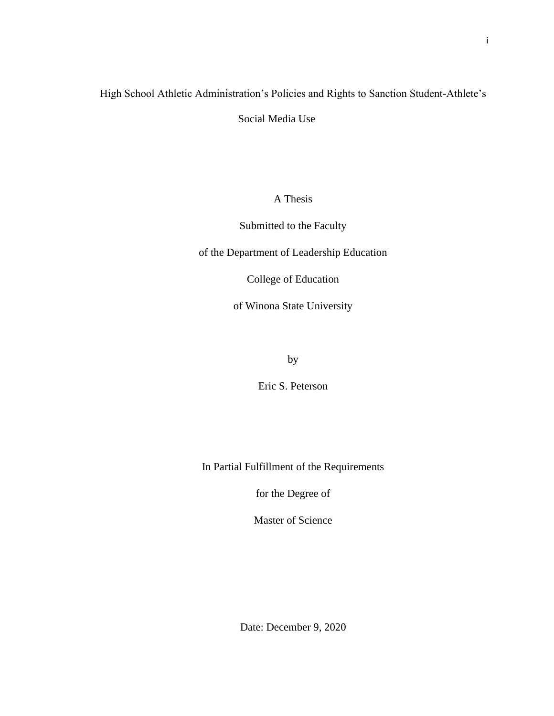# High School Athletic Administration's Policies and Rights to Sanction Student-Athlete's Social Media Use

A Thesis

Submitted to the Faculty

of the Department of Leadership Education

College of Education

of Winona State University

by

Eric S. Peterson

In Partial Fulfillment of the Requirements

for the Degree of

Master of Science

Date: December 9, 2020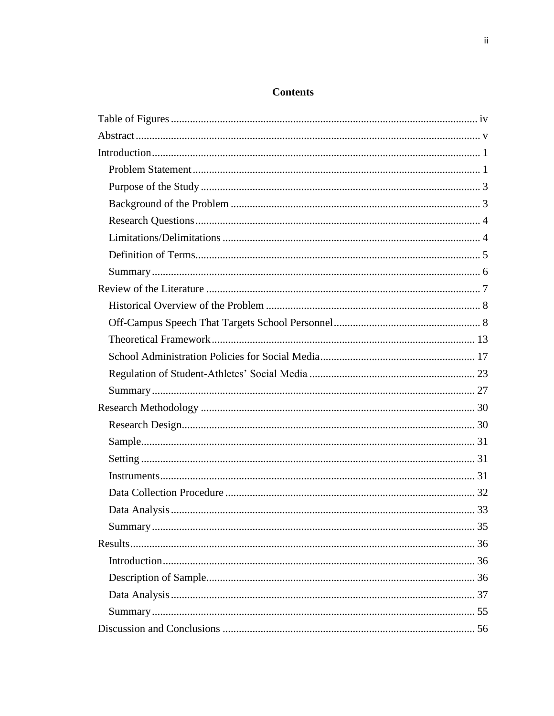## **Contents**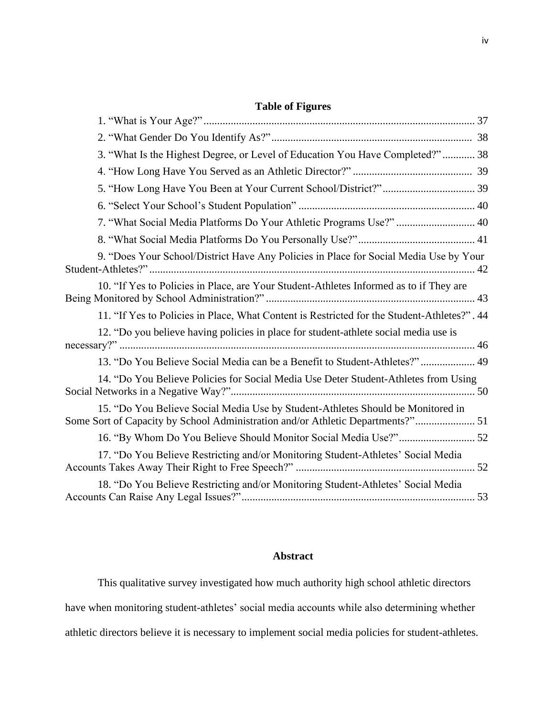## **Table of Figures**

| 3. "What Is the Highest Degree, or Level of Education You Have Completed?" 38                                                                                      |
|--------------------------------------------------------------------------------------------------------------------------------------------------------------------|
|                                                                                                                                                                    |
|                                                                                                                                                                    |
|                                                                                                                                                                    |
| 7. "What Social Media Platforms Do Your Athletic Programs Use?"  40                                                                                                |
|                                                                                                                                                                    |
| 9. "Does Your School/District Have Any Policies in Place for Social Media Use by Your                                                                              |
| 10. "If Yes to Policies in Place, are Your Student-Athletes Informed as to if They are                                                                             |
| 11. "If Yes to Policies in Place, What Content is Restricted for the Student-Athletes?". 44                                                                        |
| 12. "Do you believe having policies in place for student-athlete social media use is                                                                               |
| 13. "Do You Believe Social Media can be a Benefit to Student-Athletes?" 49                                                                                         |
| 14. "Do You Believe Policies for Social Media Use Deter Student-Athletes from Using                                                                                |
| 15. "Do You Believe Social Media Use by Student-Athletes Should be Monitored in<br>Some Sort of Capacity by School Administration and/or Athletic Departments?" 51 |
|                                                                                                                                                                    |
| 17. "Do You Believe Restricting and/or Monitoring Student-Athletes' Social Media                                                                                   |
| 18. "Do You Believe Restricting and/or Monitoring Student-Athletes' Social Media                                                                                   |

### <span id="page-4-0"></span>**Abstract**

This qualitative survey investigated how much authority high school athletic directors have when monitoring student-athletes' social media accounts while also determining whether athletic directors believe it is necessary to implement social media policies for student-athletes.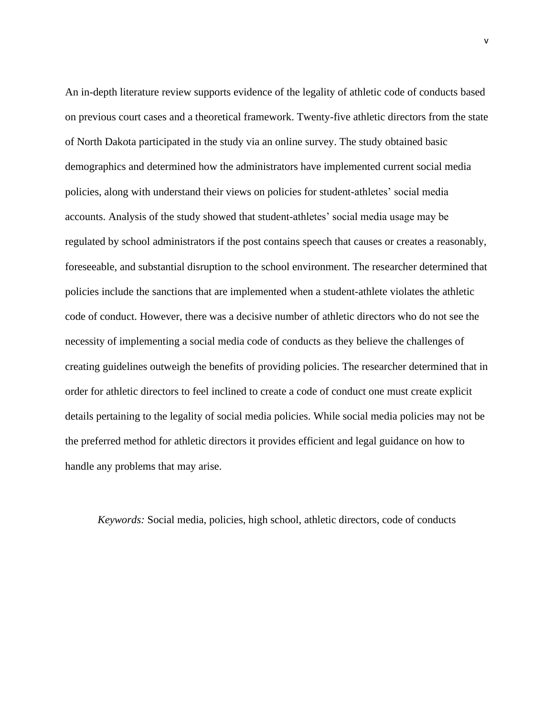An in-depth literature review supports evidence of the legality of athletic code of conducts based on previous court cases and a theoretical framework. Twenty-five athletic directors from the state of North Dakota participated in the study via an online survey. The study obtained basic demographics and determined how the administrators have implemented current social media policies, along with understand their views on policies for student-athletes' social media accounts. Analysis of the study showed that student-athletes' social media usage may be regulated by school administrators if the post contains speech that causes or creates a reasonably, foreseeable, and substantial disruption to the school environment. The researcher determined that policies include the sanctions that are implemented when a student-athlete violates the athletic code of conduct. However, there was a decisive number of athletic directors who do not see the necessity of implementing a social media code of conducts as they believe the challenges of creating guidelines outweigh the benefits of providing policies. The researcher determined that in order for athletic directors to feel inclined to create a code of conduct one must create explicit details pertaining to the legality of social media policies. While social media policies may not be the preferred method for athletic directors it provides efficient and legal guidance on how to handle any problems that may arise.

*Keywords:* Social media, policies, high school, athletic directors, code of conducts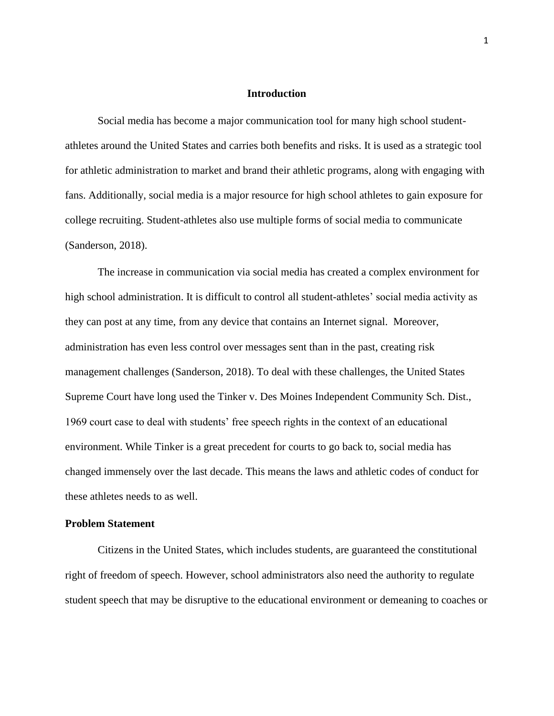#### **Introduction**

<span id="page-6-0"></span>Social media has become a major communication tool for many high school studentathletes around the United States and carries both benefits and risks. It is used as a strategic tool for athletic administration to market and brand their athletic programs, along with engaging with fans. Additionally, social media is a major resource for high school athletes to gain exposure for college recruiting. Student-athletes also use multiple forms of social media to communicate (Sanderson, 2018).

The increase in communication via social media has created a complex environment for high school administration. It is difficult to control all student-athletes' social media activity as they can post at any time, from any device that contains an Internet signal. Moreover, administration has even less control over messages sent than in the past, creating risk management challenges (Sanderson, 2018). To deal with these challenges, the United States Supreme Court have long used the Tinker v. Des Moines Independent Community Sch. Dist., 1969 court case to deal with students' free speech rights in the context of an educational environment. While Tinker is a great precedent for courts to go back to, social media has changed immensely over the last decade. This means the laws and athletic codes of conduct for these athletes needs to as well.

#### **Problem Statement**

<span id="page-6-1"></span>Citizens in the United States, which includes students, are guaranteed the constitutional right of freedom of speech. However, school administrators also need the authority to regulate student speech that may be disruptive to the educational environment or demeaning to coaches or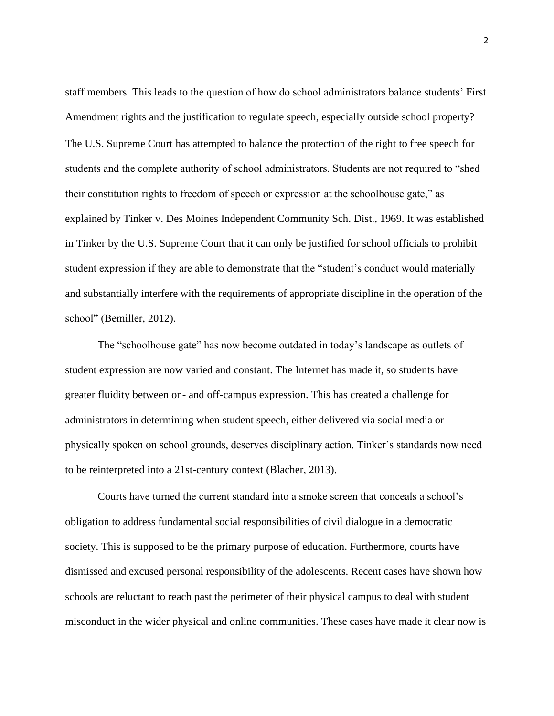staff members. This leads to the question of how do school administrators balance students' First Amendment rights and the justification to regulate speech, especially outside school property? The U.S. Supreme Court has attempted to balance the protection of the right to free speech for students and the complete authority of school administrators. Students are not required to "shed their constitution rights to freedom of speech or expression at the schoolhouse gate," as explained by Tinker v. Des Moines Independent Community Sch. Dist., 1969. It was established in Tinker by the U.S. Supreme Court that it can only be justified for school officials to prohibit student expression if they are able to demonstrate that the "student's conduct would materially and substantially interfere with the requirements of appropriate discipline in the operation of the school" (Bemiller, 2012).

The "schoolhouse gate" has now become outdated in today's landscape as outlets of student expression are now varied and constant. The Internet has made it, so students have greater fluidity between on- and off-campus expression. This has created a challenge for administrators in determining when student speech, either delivered via social media or physically spoken on school grounds, deserves disciplinary action. Tinker's standards now need to be reinterpreted into a 21st-century context (Blacher, 2013).

Courts have turned the current standard into a smoke screen that conceals a school's obligation to address fundamental social responsibilities of civil dialogue in a democratic society. This is supposed to be the primary purpose of education. Furthermore, courts have dismissed and excused personal responsibility of the adolescents. Recent cases have shown how schools are reluctant to reach past the perimeter of their physical campus to deal with student misconduct in the wider physical and online communities. These cases have made it clear now is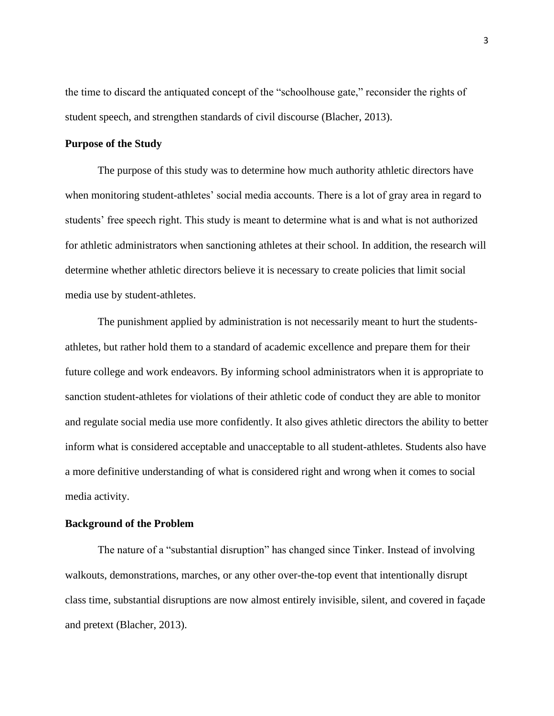the time to discard the antiquated concept of the "schoolhouse gate," reconsider the rights of student speech, and strengthen standards of civil discourse (Blacher, 2013).

#### **Purpose of the Study**

The purpose of this study was to determine how much authority athletic directors have when monitoring student-athletes' social media accounts. There is a lot of gray area in regard to students' free speech right. This study is meant to determine what is and what is not authorized for athletic administrators when sanctioning athletes at their school. In addition, the research will determine whether athletic directors believe it is necessary to create policies that limit social media use by student-athletes.

The punishment applied by administration is not necessarily meant to hurt the studentsathletes, but rather hold them to a standard of academic excellence and prepare them for their future college and work endeavors. By informing school administrators when it is appropriate to sanction student-athletes for violations of their athletic code of conduct they are able to monitor and regulate social media use more confidently. It also gives athletic directors the ability to better inform what is considered acceptable and unacceptable to all student-athletes. Students also have a more definitive understanding of what is considered right and wrong when it comes to social media activity.

#### **Background of the Problem**

<span id="page-8-0"></span>The nature of a "substantial disruption" has changed since Tinker. Instead of involving walkouts, demonstrations, marches, or any other over-the-top event that intentionally disrupt class time, substantial disruptions are now almost entirely invisible, silent, and covered in façade and pretext (Blacher, 2013).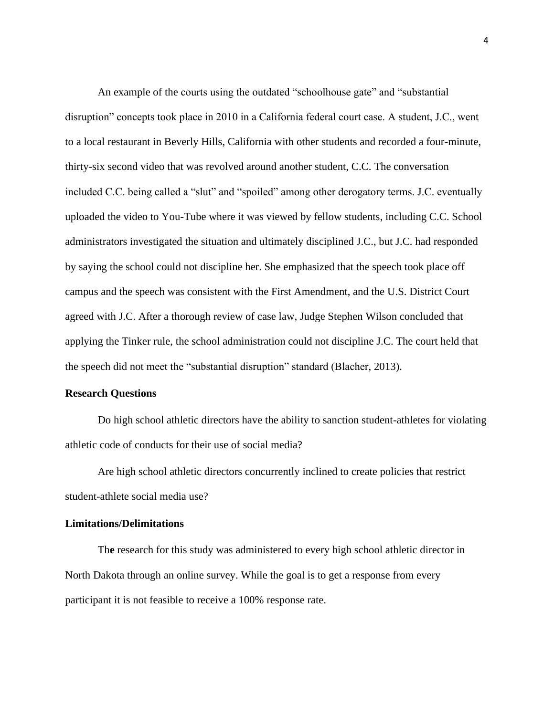An example of the courts using the outdated "schoolhouse gate" and "substantial disruption" concepts took place in 2010 in a California federal court case. A student, J.C., went to a local restaurant in Beverly Hills, California with other students and recorded a four-minute, thirty-six second video that was revolved around another student, C.C. The conversation included C.C. being called a "slut" and "spoiled" among other derogatory terms. J.C. eventually uploaded the video to You-Tube where it was viewed by fellow students, including C.C. School administrators investigated the situation and ultimately disciplined J.C., but J.C. had responded by saying the school could not discipline her. She emphasized that the speech took place off campus and the speech was consistent with the First Amendment, and the U.S. District Court agreed with J.C. After a thorough review of case law, Judge Stephen Wilson concluded that applying the Tinker rule, the school administration could not discipline J.C. The court held that the speech did not meet the "substantial disruption" standard (Blacher, 2013).

#### **Research Questions**

<span id="page-9-0"></span>Do high school athletic directors have the ability to sanction student-athletes for violating athletic code of conducts for their use of social media?

Are high school athletic directors concurrently inclined to create policies that restrict student-athlete social media use?

#### **Limitations/Delimitations**

Th**e** research for this study was administered to every high school athletic director in North Dakota through an online survey. While the goal is to get a response from every participant it is not feasible to receive a 100% response rate.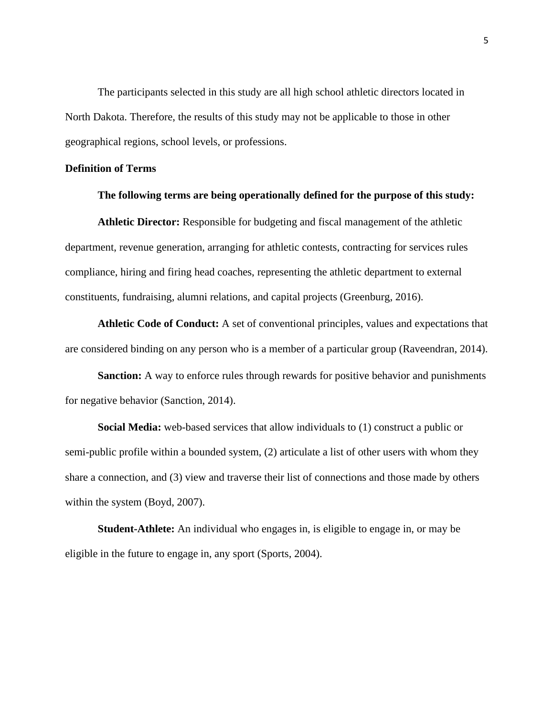<span id="page-10-0"></span>The participants selected in this study are all high school athletic directors located in North Dakota. Therefore, the results of this study may not be applicable to those in other geographical regions, school levels, or professions.

#### **Definition of Terms**

#### <span id="page-10-1"></span>**The following terms are being operationally defined for the purpose of this study:**

**Athletic Director:** Responsible for budgeting and fiscal management of the athletic department, revenue generation, arranging for athletic contests, contracting for services rules compliance, hiring and firing head coaches, representing the athletic department to external constituents, fundraising, alumni relations, and capital projects (Greenburg, 2016).

**Athletic Code of Conduct:** A set of conventional principles, values and expectations that are considered binding on any person who is a member of a particular group (Raveendran, 2014).

**Sanction:** A way to enforce rules through rewards for positive behavior and punishments for negative behavior (Sanction, 2014).

**Social Media:** web-based services that allow individuals to (1) construct a public or semi-public profile within a bounded system, (2) articulate a list of other users with whom they share a connection, and (3) view and traverse their list of connections and those made by others within the system (Boyd, 2007).

**Student-Athlete:** An individual who engages in, is eligible to engage in, or may be eligible in the future to engage in, any sport (Sports, 2004).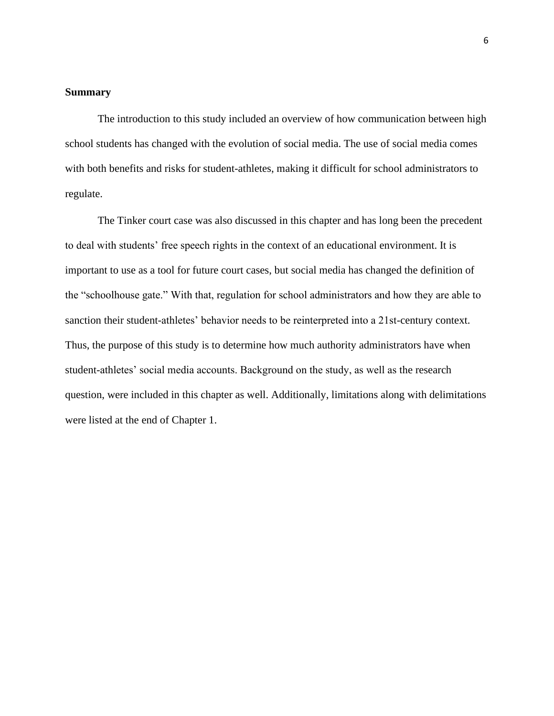#### **Summary**

The introduction to this study included an overview of how communication between high school students has changed with the evolution of social media. The use of social media comes with both benefits and risks for student-athletes, making it difficult for school administrators to regulate.

The Tinker court case was also discussed in this chapter and has long been the precedent to deal with students' free speech rights in the context of an educational environment. It is important to use as a tool for future court cases, but social media has changed the definition of the "schoolhouse gate." With that, regulation for school administrators and how they are able to sanction their student-athletes' behavior needs to be reinterpreted into a 21st-century context. Thus, the purpose of this study is to determine how much authority administrators have when student-athletes' social media accounts. Background on the study, as well as the research question, were included in this chapter as well. Additionally, limitations along with delimitations were listed at the end of Chapter 1.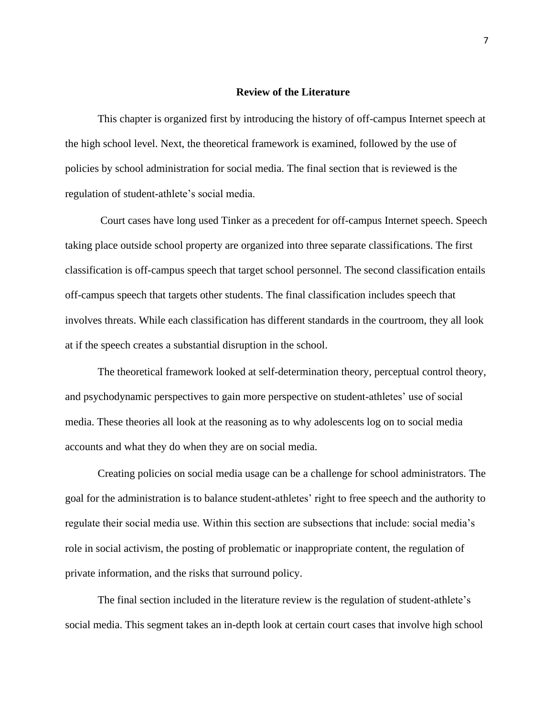#### **Review of the Literature**

<span id="page-12-1"></span><span id="page-12-0"></span>This chapter is organized first by introducing the history of off-campus Internet speech at the high school level. Next, the theoretical framework is examined, followed by the use of policies by school administration for social media. The final section that is reviewed is the regulation of student-athlete's social media.

Court cases have long used Tinker as a precedent for off-campus Internet speech. Speech taking place outside school property are organized into three separate classifications. The first classification is off-campus speech that target school personnel. The second classification entails off-campus speech that targets other students. The final classification includes speech that involves threats. While each classification has different standards in the courtroom, they all look at if the speech creates a substantial disruption in the school.

The theoretical framework looked at self-determination theory, perceptual control theory, and psychodynamic perspectives to gain more perspective on student-athletes' use of social media. These theories all look at the reasoning as to why adolescents log on to social media accounts and what they do when they are on social media.

Creating policies on social media usage can be a challenge for school administrators. The goal for the administration is to balance student-athletes' right to free speech and the authority to regulate their social media use. Within this section are subsections that include: social media's role in social activism, the posting of problematic or inappropriate content, the regulation of private information, and the risks that surround policy.

The final section included in the literature review is the regulation of student-athlete's social media. This segment takes an in-depth look at certain court cases that involve high school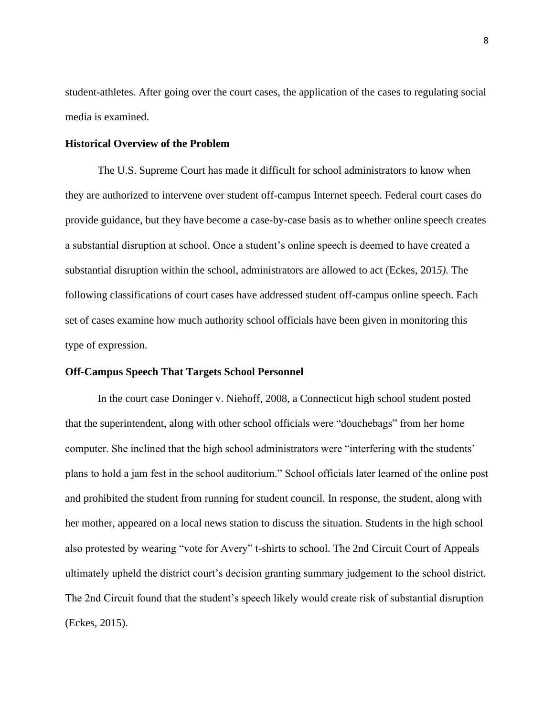student-athletes. After going over the court cases, the application of the cases to regulating social media is examined.

#### **Historical Overview of the Problem**

The U.S. Supreme Court has made it difficult for school administrators to know when they are authorized to intervene over student off-campus Internet speech. Federal court cases do provide guidance, but they have become a case-by-case basis as to whether online speech creates a substantial disruption at school. Once a student's online speech is deemed to have created a substantial disruption within the school, administrators are allowed to act (Eckes, 201*5).* The following classifications of court cases have addressed student off-campus online speech. Each set of cases examine how much authority school officials have been given in monitoring this type of expression.

#### **Off-Campus Speech That Targets School Personnel**

In the court case Doninger v. Niehoff, 2008, a Connecticut high school student posted that the superintendent, along with other school officials were "douchebags" from her home computer. She inclined that the high school administrators were "interfering with the students' plans to hold a jam fest in the school auditorium." School officials later learned of the online post and prohibited the student from running for student council. In response, the student, along with her mother, appeared on a local news station to discuss the situation. Students in the high school also protested by wearing "vote for Avery" t-shirts to school. The 2nd Circuit Court of Appeals ultimately upheld the district court's decision granting summary judgement to the school district. The 2nd Circuit found that the student's speech likely would create risk of substantial disruption (Eckes, 2015).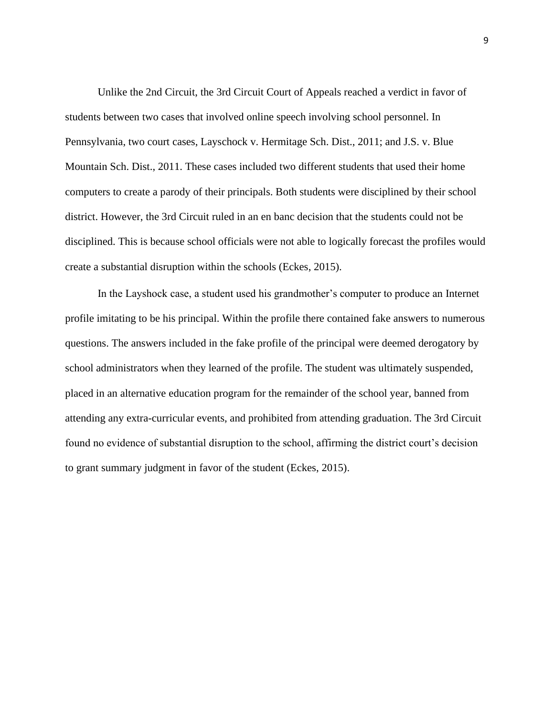Unlike the 2nd Circuit, the 3rd Circuit Court of Appeals reached a verdict in favor of students between two cases that involved online speech involving school personnel. In Pennsylvania, two court cases, Layschock v. Hermitage Sch. Dist., 2011; and J.S. v. Blue Mountain Sch. Dist., 2011. These cases included two different students that used their home computers to create a parody of their principals. Both students were disciplined by their school district. However, the 3rd Circuit ruled in an en banc decision that the students could not be disciplined. This is because school officials were not able to logically forecast the profiles would create a substantial disruption within the schools (Eckes, 2015).

In the Layshock case, a student used his grandmother's computer to produce an Internet profile imitating to be his principal. Within the profile there contained fake answers to numerous questions. The answers included in the fake profile of the principal were deemed derogatory by school administrators when they learned of the profile. The student was ultimately suspended, placed in an alternative education program for the remainder of the school year, banned from attending any extra-curricular events, and prohibited from attending graduation. The 3rd Circuit found no evidence of substantial disruption to the school, affirming the district court's decision to grant summary judgment in favor of the student (Eckes, 2015).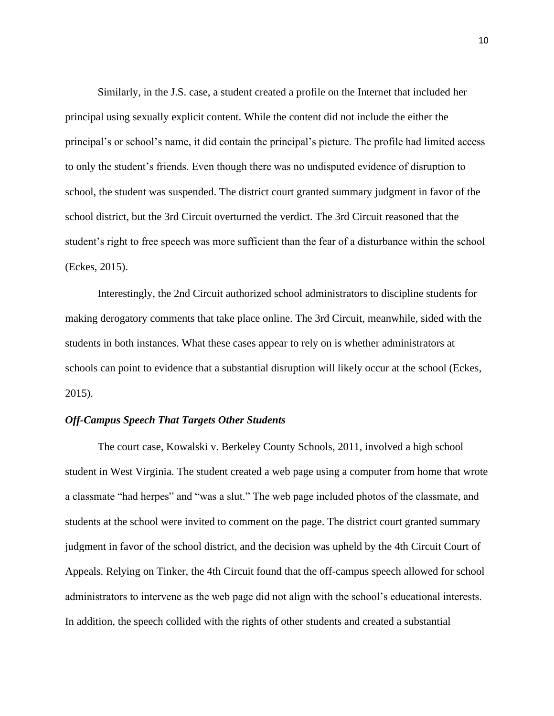Similarly, in the J.S. case, a student created a profile on the Internet that included her principal using sexually explicit content. While the content did not include the either the principal's or school's name, it did contain the principal's picture. The profile had limited access to only the student's friends. Even though there was no undisputed evidence of disruption to school, the student was suspended. The district court granted summary judgment in favor of the school district, but the 3rd Circuit overturned the verdict. The 3rd Circuit reasoned that the student's right to free speech was more sufficient than the fear of a disturbance within the school (Eckes, 2015).

Interestingly, the 2nd Circuit authorized school administrators to discipline students for making derogatory comments that take place online. The 3rd Circuit, meanwhile, sided with the students in both instances. What these cases appear to rely on is whether administrators at schools can point to evidence that a substantial disruption will likely occur at the school (Eckes, 2015).

#### *Off-Campus Speech That Targets Other Students*

<span id="page-15-0"></span>The court case, Kowalski v. Berkeley County Schools, 2011, involved a high school student in West Virginia. The student created a web page using a computer from home that wrote a classmate "had herpes" and "was a slut." The web page included photos of the classmate, and students at the school were invited to comment on the page. The district court granted summary judgment in favor of the school district, and the decision was upheld by the 4th Circuit Court of Appeals. Relying on Tinker, the 4th Circuit found that the off-campus speech allowed for school administrators to intervene as the web page did not align with the school's educational interests. In addition, the speech collided with the rights of other students and created a substantial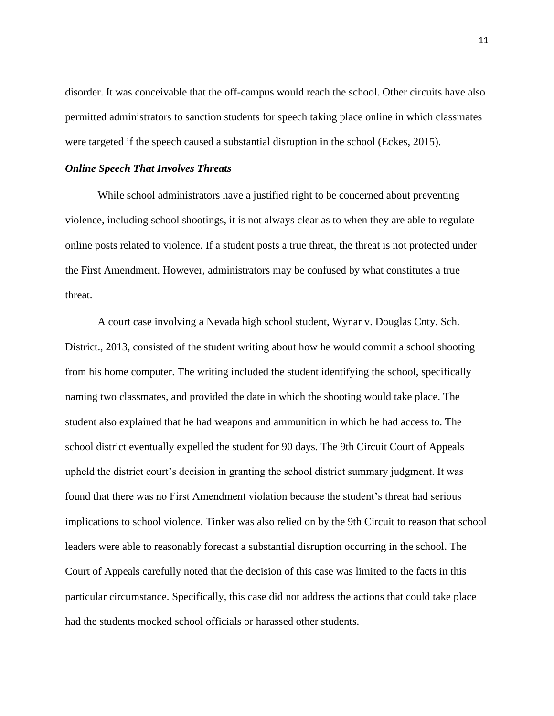disorder. It was conceivable that the off-campus would reach the school. Other circuits have also permitted administrators to sanction students for speech taking place online in which classmates were targeted if the speech caused a substantial disruption in the school (Eckes, 2015).

#### *Online Speech That Involves Threats*

While school administrators have a justified right to be concerned about preventing violence, including school shootings, it is not always clear as to when they are able to regulate online posts related to violence. If a student posts a true threat, the threat is not protected under the First Amendment. However, administrators may be confused by what constitutes a true threat.

A court case involving a Nevada high school student, Wynar v. Douglas Cnty. Sch. District., 2013, consisted of the student writing about how he would commit a school shooting from his home computer. The writing included the student identifying the school, specifically naming two classmates, and provided the date in which the shooting would take place. The student also explained that he had weapons and ammunition in which he had access to. The school district eventually expelled the student for 90 days. The 9th Circuit Court of Appeals upheld the district court's decision in granting the school district summary judgment. It was found that there was no First Amendment violation because the student's threat had serious implications to school violence. Tinker was also relied on by the 9th Circuit to reason that school leaders were able to reasonably forecast a substantial disruption occurring in the school. The Court of Appeals carefully noted that the decision of this case was limited to the facts in this particular circumstance. Specifically, this case did not address the actions that could take place had the students mocked school officials or harassed other students.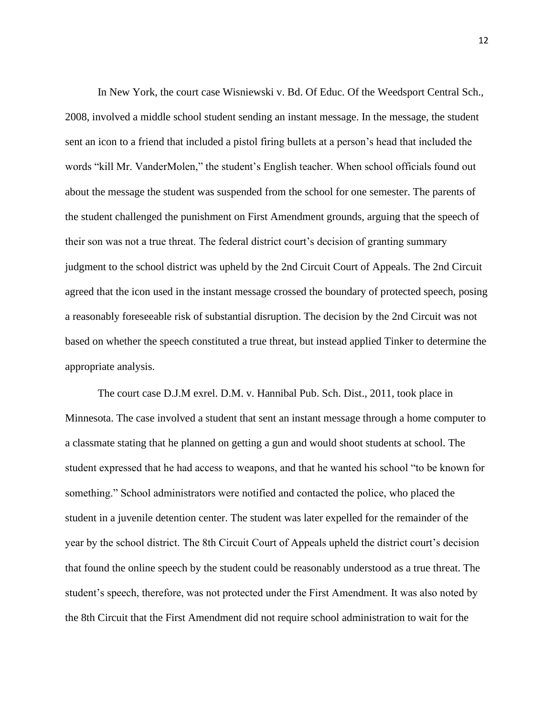In New York, the court case Wisniewski v. Bd. Of Educ. Of the Weedsport Central Sch., 2008, involved a middle school student sending an instant message. In the message, the student sent an icon to a friend that included a pistol firing bullets at a person's head that included the words "kill Mr. VanderMolen," the student's English teacher. When school officials found out about the message the student was suspended from the school for one semester. The parents of the student challenged the punishment on First Amendment grounds, arguing that the speech of their son was not a true threat. The federal district court's decision of granting summary judgment to the school district was upheld by the 2nd Circuit Court of Appeals. The 2nd Circuit agreed that the icon used in the instant message crossed the boundary of protected speech, posing a reasonably foreseeable risk of substantial disruption. The decision by the 2nd Circuit was not based on whether the speech constituted a true threat, but instead applied Tinker to determine the appropriate analysis.

The court case D.J.M exrel. D.M. v. Hannibal Pub. Sch. Dist., 2011, took place in Minnesota. The case involved a student that sent an instant message through a home computer to a classmate stating that he planned on getting a gun and would shoot students at school. The student expressed that he had access to weapons, and that he wanted his school "to be known for something." School administrators were notified and contacted the police, who placed the student in a juvenile detention center. The student was later expelled for the remainder of the year by the school district. The 8th Circuit Court of Appeals upheld the district court's decision that found the online speech by the student could be reasonably understood as a true threat. The student's speech, therefore, was not protected under the First Amendment. It was also noted by the 8th Circuit that the First Amendment did not require school administration to wait for the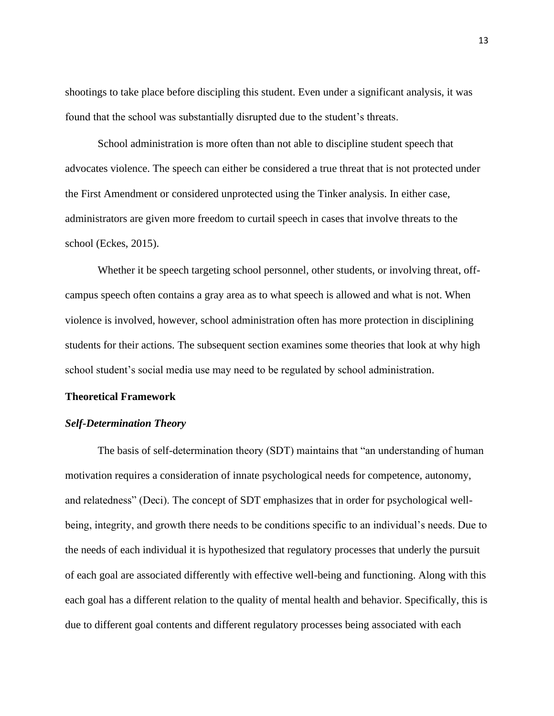shootings to take place before discipling this student. Even under a significant analysis, it was found that the school was substantially disrupted due to the student's threats.

School administration is more often than not able to discipline student speech that advocates violence. The speech can either be considered a true threat that is not protected under the First Amendment or considered unprotected using the Tinker analysis. In either case, administrators are given more freedom to curtail speech in cases that involve threats to the school (Eckes, 2015).

Whether it be speech targeting school personnel, other students, or involving threat, offcampus speech often contains a gray area as to what speech is allowed and what is not. When violence is involved, however, school administration often has more protection in disciplining students for their actions. The subsequent section examines some theories that look at why high school student's social media use may need to be regulated by school administration.

#### <span id="page-18-0"></span>**Theoretical Framework**

#### *Self-Determination Theory*

The basis of self-determination theory (SDT) maintains that "an understanding of human motivation requires a consideration of innate psychological needs for competence, autonomy, and relatedness" (Deci). The concept of SDT emphasizes that in order for psychological wellbeing, integrity, and growth there needs to be conditions specific to an individual's needs. Due to the needs of each individual it is hypothesized that regulatory processes that underly the pursuit of each goal are associated differently with effective well-being and functioning. Along with this each goal has a different relation to the quality of mental health and behavior. Specifically, this is due to different goal contents and different regulatory processes being associated with each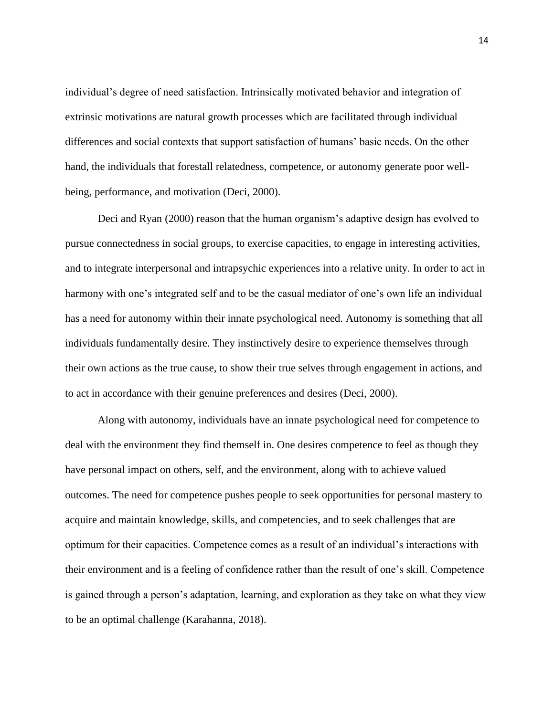individual's degree of need satisfaction. Intrinsically motivated behavior and integration of extrinsic motivations are natural growth processes which are facilitated through individual differences and social contexts that support satisfaction of humans' basic needs. On the other hand, the individuals that forestall relatedness, competence, or autonomy generate poor wellbeing, performance, and motivation (Deci, 2000).

Deci and Ryan (2000) reason that the human organism's adaptive design has evolved to pursue connectedness in social groups, to exercise capacities, to engage in interesting activities, and to integrate interpersonal and intrapsychic experiences into a relative unity. In order to act in harmony with one's integrated self and to be the casual mediator of one's own life an individual has a need for autonomy within their innate psychological need. Autonomy is something that all individuals fundamentally desire. They instinctively desire to experience themselves through their own actions as the true cause, to show their true selves through engagement in actions, and to act in accordance with their genuine preferences and desires (Deci, 2000).

Along with autonomy, individuals have an innate psychological need for competence to deal with the environment they find themself in. One desires competence to feel as though they have personal impact on others, self, and the environment, along with to achieve valued outcomes. The need for competence pushes people to seek opportunities for personal mastery to acquire and maintain knowledge, skills, and competencies, and to seek challenges that are optimum for their capacities. Competence comes as a result of an individual's interactions with their environment and is a feeling of confidence rather than the result of one's skill. Competence is gained through a person's adaptation, learning, and exploration as they take on what they view to be an optimal challenge (Karahanna, 2018).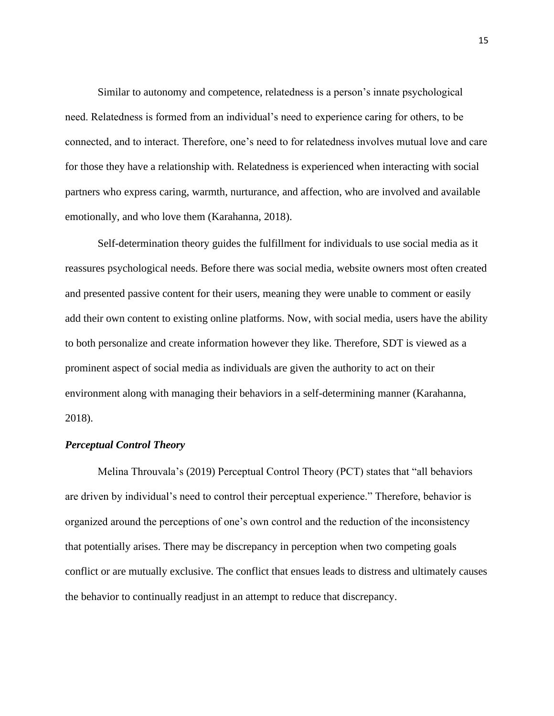Similar to autonomy and competence, relatedness is a person's innate psychological need. Relatedness is formed from an individual's need to experience caring for others, to be connected, and to interact. Therefore, one's need to for relatedness involves mutual love and care for those they have a relationship with. Relatedness is experienced when interacting with social partners who express caring, warmth, nurturance, and affection, who are involved and available emotionally, and who love them (Karahanna, 2018).

Self-determination theory guides the fulfillment for individuals to use social media as it reassures psychological needs. Before there was social media, website owners most often created and presented passive content for their users, meaning they were unable to comment or easily add their own content to existing online platforms. Now, with social media, users have the ability to both personalize and create information however they like. Therefore, SDT is viewed as a prominent aspect of social media as individuals are given the authority to act on their environment along with managing their behaviors in a self-determining manner (Karahanna, 2018).

#### *Perceptual Control Theory*

Melina Throuvala's (2019) Perceptual Control Theory (PCT) states that "all behaviors are driven by individual's need to control their perceptual experience." Therefore, behavior is organized around the perceptions of one's own control and the reduction of the inconsistency that potentially arises. There may be discrepancy in perception when two competing goals conflict or are mutually exclusive. The conflict that ensues leads to distress and ultimately causes the behavior to continually readjust in an attempt to reduce that discrepancy.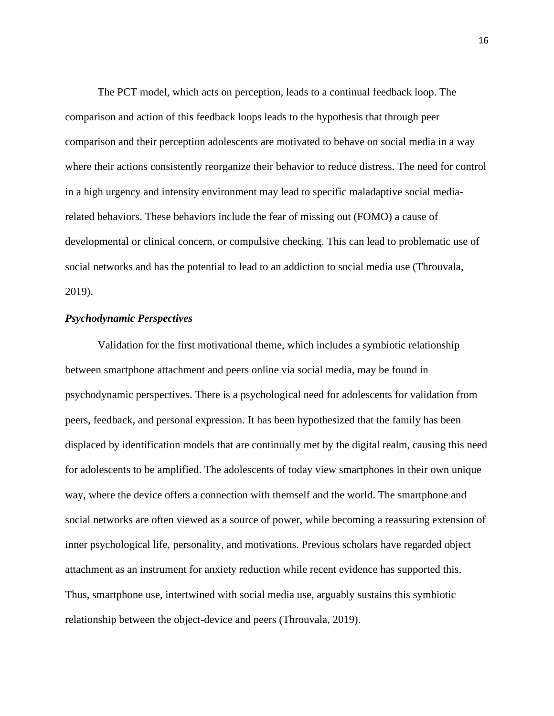The PCT model, which acts on perception, leads to a continual feedback loop. The comparison and action of this feedback loops leads to the hypothesis that through peer comparison and their perception adolescents are motivated to behave on social media in a way where their actions consistently reorganize their behavior to reduce distress. The need for control in a high urgency and intensity environment may lead to specific maladaptive social mediarelated behaviors. These behaviors include the fear of missing out (FOMO) a cause of developmental or clinical concern, or compulsive checking. This can lead to problematic use of social networks and has the potential to lead to an addiction to social media use (Throuvala, 2019).

#### *Psychodynamic Perspectives*

Validation for the first motivational theme, which includes a symbiotic relationship between smartphone attachment and peers online via social media, may be found in psychodynamic perspectives. There is a psychological need for adolescents for validation from peers, feedback, and personal expression. It has been hypothesized that the family has been displaced by identification models that are continually met by the digital realm, causing this need for adolescents to be amplified. The adolescents of today view smartphones in their own unique way, where the device offers a connection with themself and the world. The smartphone and social networks are often viewed as a source of power, while becoming a reassuring extension of inner psychological life, personality, and motivations. Previous scholars have regarded object attachment as an instrument for anxiety reduction while recent evidence has supported this. Thus, smartphone use, intertwined with social media use, arguably sustains this symbiotic relationship between the object-device and peers (Throuvala, 2019).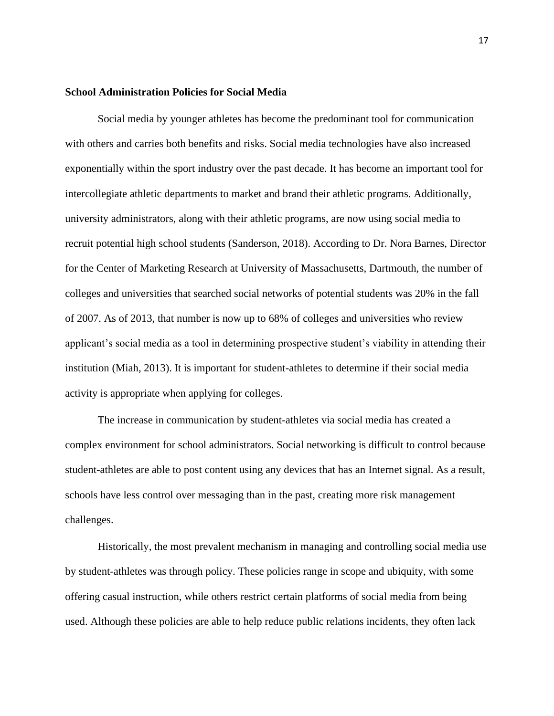#### **School Administration Policies for Social Media**

Social media by younger athletes has become the predominant tool for communication with others and carries both benefits and risks. Social media technologies have also increased exponentially within the sport industry over the past decade. It has become an important tool for intercollegiate athletic departments to market and brand their athletic programs. Additionally, university administrators, along with their athletic programs, are now using social media to recruit potential high school students (Sanderson, 2018). According to Dr. Nora Barnes, Director for the Center of Marketing Research at University of Massachusetts, Dartmouth, the number of colleges and universities that searched social networks of potential students was 20% in the fall of 2007. As of 2013, that number is now up to 68% of colleges and universities who review applicant's social media as a tool in determining prospective student's viability in attending their institution (Miah, 2013). It is important for student-athletes to determine if their social media activity is appropriate when applying for colleges.

The increase in communication by student-athletes via social media has created a complex environment for school administrators. Social networking is difficult to control because student-athletes are able to post content using any devices that has an Internet signal. As a result, schools have less control over messaging than in the past, creating more risk management challenges.

Historically, the most prevalent mechanism in managing and controlling social media use by student-athletes was through policy. These policies range in scope and ubiquity, with some offering casual instruction, while others restrict certain platforms of social media from being used. Although these policies are able to help reduce public relations incidents, they often lack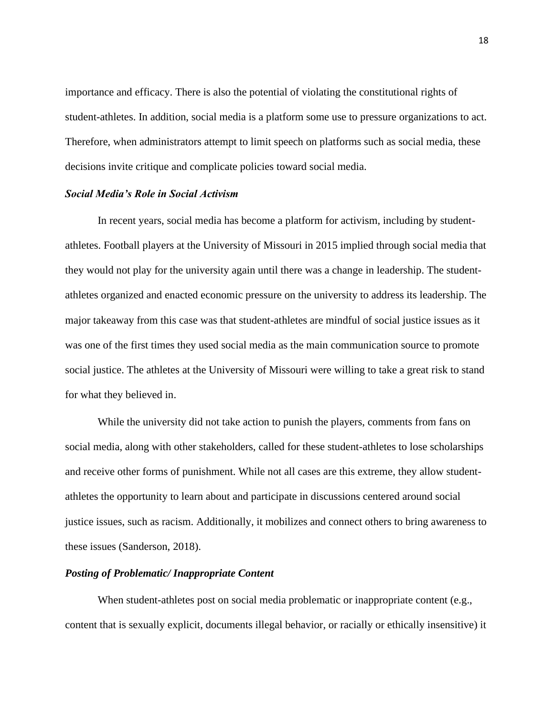importance and efficacy. There is also the potential of violating the constitutional rights of student-athletes. In addition, social media is a platform some use to pressure organizations to act. Therefore, when administrators attempt to limit speech on platforms such as social media, these decisions invite critique and complicate policies toward social media.

#### *Social Media's Role in Social Activism*

In recent years, social media has become a platform for activism, including by studentathletes. Football players at the University of Missouri in 2015 implied through social media that they would not play for the university again until there was a change in leadership. The studentathletes organized and enacted economic pressure on the university to address its leadership. The major takeaway from this case was that student-athletes are mindful of social justice issues as it was one of the first times they used social media as the main communication source to promote social justice. The athletes at the University of Missouri were willing to take a great risk to stand for what they believed in.

While the university did not take action to punish the players, comments from fans on social media, along with other stakeholders, called for these student-athletes to lose scholarships and receive other forms of punishment. While not all cases are this extreme, they allow studentathletes the opportunity to learn about and participate in discussions centered around social justice issues, such as racism. Additionally, it mobilizes and connect others to bring awareness to these issues (Sanderson, 2018).

#### *Posting of Problematic/ Inappropriate Content*

When student-athletes post on social media problematic or inappropriate content (e.g., content that is sexually explicit, documents illegal behavior, or racially or ethically insensitive) it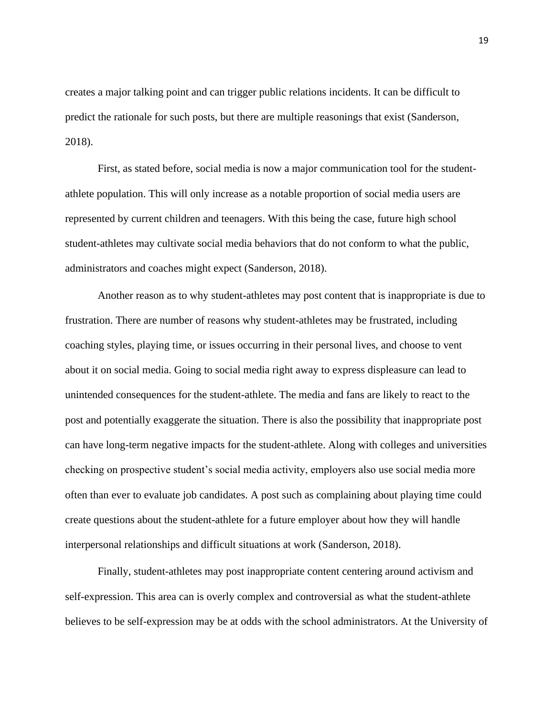creates a major talking point and can trigger public relations incidents. It can be difficult to predict the rationale for such posts, but there are multiple reasonings that exist (Sanderson, 2018).

First, as stated before, social media is now a major communication tool for the studentathlete population. This will only increase as a notable proportion of social media users are represented by current children and teenagers. With this being the case, future high school student-athletes may cultivate social media behaviors that do not conform to what the public, administrators and coaches might expect (Sanderson, 2018).

Another reason as to why student-athletes may post content that is inappropriate is due to frustration. There are number of reasons why student-athletes may be frustrated, including coaching styles, playing time, or issues occurring in their personal lives, and choose to vent about it on social media. Going to social media right away to express displeasure can lead to unintended consequences for the student-athlete. The media and fans are likely to react to the post and potentially exaggerate the situation. There is also the possibility that inappropriate post can have long-term negative impacts for the student-athlete. Along with colleges and universities checking on prospective student's social media activity, employers also use social media more often than ever to evaluate job candidates. A post such as complaining about playing time could create questions about the student-athlete for a future employer about how they will handle interpersonal relationships and difficult situations at work (Sanderson, 2018).

Finally, student-athletes may post inappropriate content centering around activism and self-expression. This area can is overly complex and controversial as what the student-athlete believes to be self-expression may be at odds with the school administrators. At the University of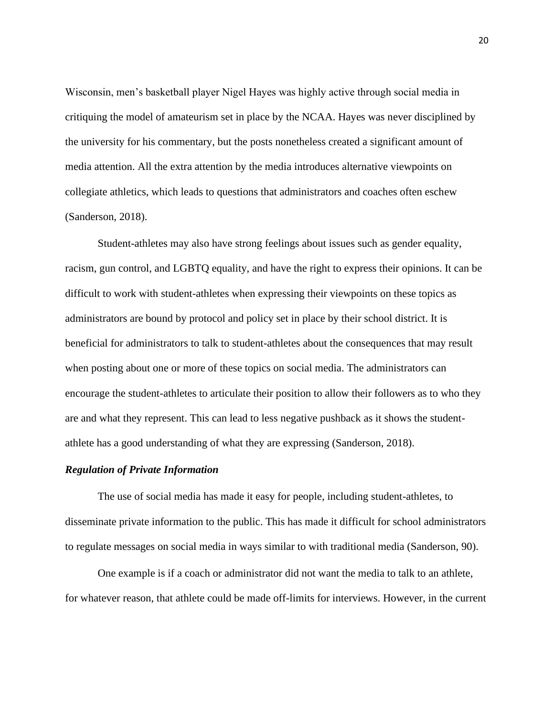Wisconsin, men's basketball player Nigel Hayes was highly active through social media in critiquing the model of amateurism set in place by the NCAA. Hayes was never disciplined by the university for his commentary, but the posts nonetheless created a significant amount of media attention. All the extra attention by the media introduces alternative viewpoints on collegiate athletics, which leads to questions that administrators and coaches often eschew (Sanderson, 2018).

Student-athletes may also have strong feelings about issues such as gender equality, racism, gun control, and LGBTQ equality, and have the right to express their opinions. It can be difficult to work with student-athletes when expressing their viewpoints on these topics as administrators are bound by protocol and policy set in place by their school district. It is beneficial for administrators to talk to student-athletes about the consequences that may result when posting about one or more of these topics on social media. The administrators can encourage the student-athletes to articulate their position to allow their followers as to who they are and what they represent. This can lead to less negative pushback as it shows the studentathlete has a good understanding of what they are expressing (Sanderson, 2018).

#### *Regulation of Private Information*

The use of social media has made it easy for people, including student-athletes, to disseminate private information to the public. This has made it difficult for school administrators to regulate messages on social media in ways similar to with traditional media (Sanderson, 90).

One example is if a coach or administrator did not want the media to talk to an athlete, for whatever reason, that athlete could be made off-limits for interviews. However, in the current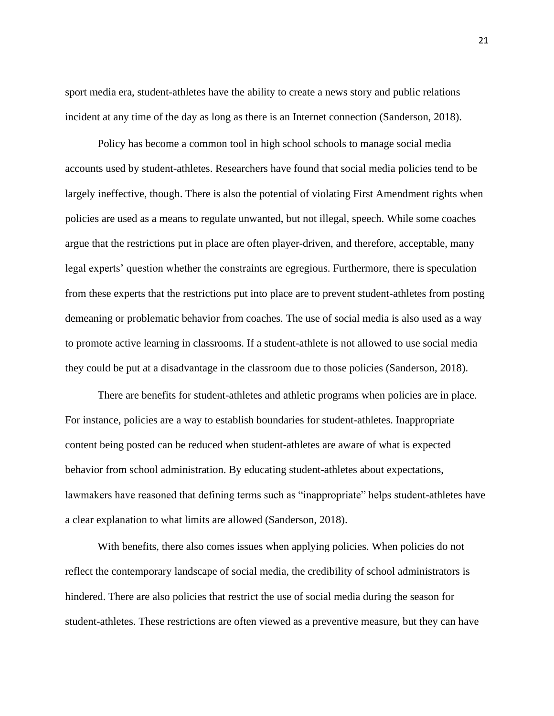sport media era, student-athletes have the ability to create a news story and public relations incident at any time of the day as long as there is an Internet connection (Sanderson, 2018).

Policy has become a common tool in high school schools to manage social media accounts used by student-athletes. Researchers have found that social media policies tend to be largely ineffective, though. There is also the potential of violating First Amendment rights when policies are used as a means to regulate unwanted, but not illegal, speech. While some coaches argue that the restrictions put in place are often player-driven, and therefore, acceptable, many legal experts' question whether the constraints are egregious. Furthermore, there is speculation from these experts that the restrictions put into place are to prevent student-athletes from posting demeaning or problematic behavior from coaches. The use of social media is also used as a way to promote active learning in classrooms. If a student-athlete is not allowed to use social media they could be put at a disadvantage in the classroom due to those policies (Sanderson, 2018).

There are benefits for student-athletes and athletic programs when policies are in place. For instance, policies are a way to establish boundaries for student-athletes. Inappropriate content being posted can be reduced when student-athletes are aware of what is expected behavior from school administration. By educating student-athletes about expectations, lawmakers have reasoned that defining terms such as "inappropriate" helps student-athletes have a clear explanation to what limits are allowed (Sanderson, 2018).

With benefits, there also comes issues when applying policies. When policies do not reflect the contemporary landscape of social media, the credibility of school administrators is hindered. There are also policies that restrict the use of social media during the season for student-athletes. These restrictions are often viewed as a preventive measure, but they can have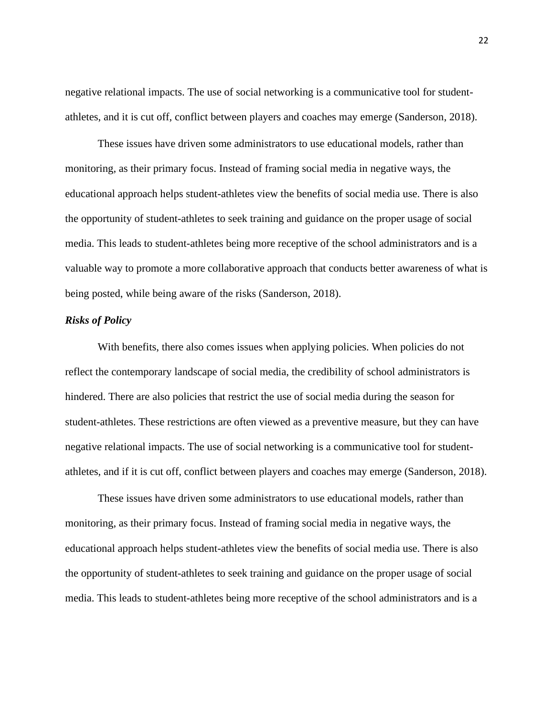negative relational impacts. The use of social networking is a communicative tool for studentathletes, and it is cut off, conflict between players and coaches may emerge (Sanderson, 2018).

These issues have driven some administrators to use educational models, rather than monitoring, as their primary focus. Instead of framing social media in negative ways, the educational approach helps student-athletes view the benefits of social media use. There is also the opportunity of student-athletes to seek training and guidance on the proper usage of social media. This leads to student-athletes being more receptive of the school administrators and is a valuable way to promote a more collaborative approach that conducts better awareness of what is being posted, while being aware of the risks (Sanderson, 2018).

#### *Risks of Policy*

With benefits, there also comes issues when applying policies. When policies do not reflect the contemporary landscape of social media, the credibility of school administrators is hindered. There are also policies that restrict the use of social media during the season for student-athletes. These restrictions are often viewed as a preventive measure, but they can have negative relational impacts. The use of social networking is a communicative tool for studentathletes, and if it is cut off, conflict between players and coaches may emerge (Sanderson, 2018).

These issues have driven some administrators to use educational models, rather than monitoring, as their primary focus. Instead of framing social media in negative ways, the educational approach helps student-athletes view the benefits of social media use. There is also the opportunity of student-athletes to seek training and guidance on the proper usage of social media. This leads to student-athletes being more receptive of the school administrators and is a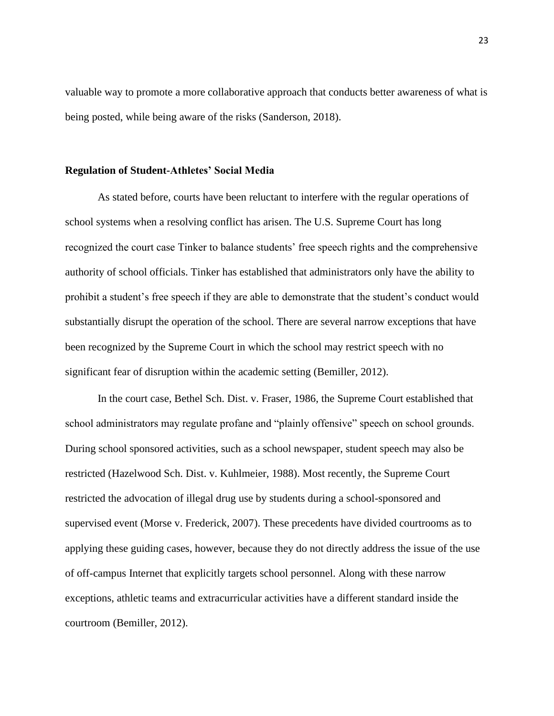valuable way to promote a more collaborative approach that conducts better awareness of what is being posted, while being aware of the risks (Sanderson, 2018).

#### **Regulation of Student-Athletes' Social Media**

As stated before, courts have been reluctant to interfere with the regular operations of school systems when a resolving conflict has arisen. The U.S. Supreme Court has long recognized the court case Tinker to balance students' free speech rights and the comprehensive authority of school officials. Tinker has established that administrators only have the ability to prohibit a student's free speech if they are able to demonstrate that the student's conduct would substantially disrupt the operation of the school. There are several narrow exceptions that have been recognized by the Supreme Court in which the school may restrict speech with no significant fear of disruption within the academic setting (Bemiller, 2012).

In the court case, Bethel Sch. Dist. v. Fraser, 1986, the Supreme Court established that school administrators may regulate profane and "plainly offensive" speech on school grounds. During school sponsored activities, such as a school newspaper, student speech may also be restricted (Hazelwood Sch. Dist. v. Kuhlmeier, 1988). Most recently, the Supreme Court restricted the advocation of illegal drug use by students during a school-sponsored and supervised event (Morse v. Frederick, 2007). These precedents have divided courtrooms as to applying these guiding cases, however, because they do not directly address the issue of the use of off-campus Internet that explicitly targets school personnel. Along with these narrow exceptions, athletic teams and extracurricular activities have a different standard inside the courtroom (Bemiller, 2012).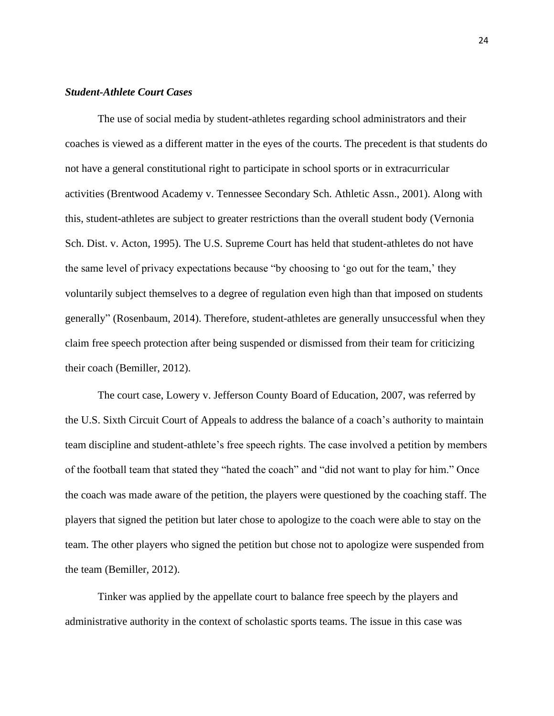#### *Student-Athlete Court Cases*

The use of social media by student-athletes regarding school administrators and their coaches is viewed as a different matter in the eyes of the courts. The precedent is that students do not have a general constitutional right to participate in school sports or in extracurricular activities (Brentwood Academy v. Tennessee Secondary Sch. Athletic Assn., 2001). Along with this, student-athletes are subject to greater restrictions than the overall student body (Vernonia Sch. Dist. v. Acton, 1995). The U.S. Supreme Court has held that student-athletes do not have the same level of privacy expectations because "by choosing to 'go out for the team,' they voluntarily subject themselves to a degree of regulation even high than that imposed on students generally" (Rosenbaum, 2014). Therefore, student-athletes are generally unsuccessful when they claim free speech protection after being suspended or dismissed from their team for criticizing their coach (Bemiller, 2012).

The court case, Lowery v. Jefferson County Board of Education, 2007, was referred by the U.S. Sixth Circuit Court of Appeals to address the balance of a coach's authority to maintain team discipline and student-athlete's free speech rights. The case involved a petition by members of the football team that stated they "hated the coach" and "did not want to play for him." Once the coach was made aware of the petition, the players were questioned by the coaching staff. The players that signed the petition but later chose to apologize to the coach were able to stay on the team. The other players who signed the petition but chose not to apologize were suspended from the team (Bemiller, 2012).

Tinker was applied by the appellate court to balance free speech by the players and administrative authority in the context of scholastic sports teams. The issue in this case was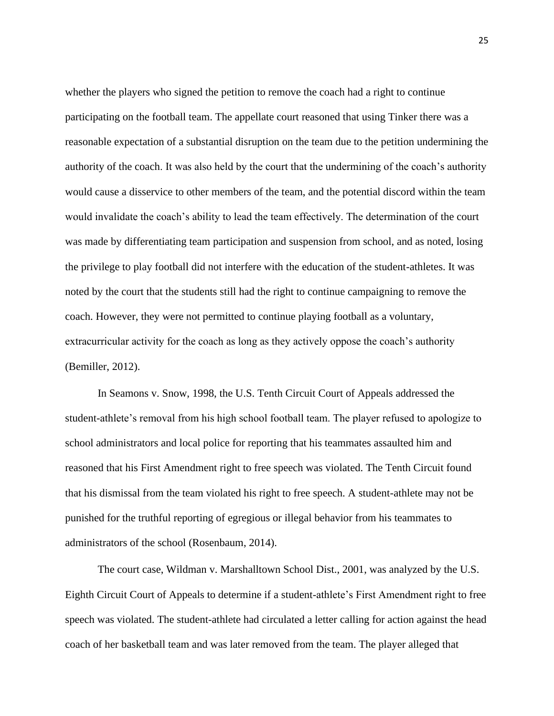whether the players who signed the petition to remove the coach had a right to continue participating on the football team. The appellate court reasoned that using Tinker there was a reasonable expectation of a substantial disruption on the team due to the petition undermining the authority of the coach. It was also held by the court that the undermining of the coach's authority would cause a disservice to other members of the team, and the potential discord within the team would invalidate the coach's ability to lead the team effectively. The determination of the court was made by differentiating team participation and suspension from school, and as noted, losing the privilege to play football did not interfere with the education of the student-athletes. It was noted by the court that the students still had the right to continue campaigning to remove the coach. However, they were not permitted to continue playing football as a voluntary, extracurricular activity for the coach as long as they actively oppose the coach's authority (Bemiller, 2012).

In Seamons v. Snow, 1998, the U.S. Tenth Circuit Court of Appeals addressed the student-athlete's removal from his high school football team. The player refused to apologize to school administrators and local police for reporting that his teammates assaulted him and reasoned that his First Amendment right to free speech was violated. The Tenth Circuit found that his dismissal from the team violated his right to free speech. A student-athlete may not be punished for the truthful reporting of egregious or illegal behavior from his teammates to administrators of the school (Rosenbaum, 2014).

The court case, Wildman v. Marshalltown School Dist., 2001, was analyzed by the U.S. Eighth Circuit Court of Appeals to determine if a student-athlete's First Amendment right to free speech was violated. The student-athlete had circulated a letter calling for action against the head coach of her basketball team and was later removed from the team. The player alleged that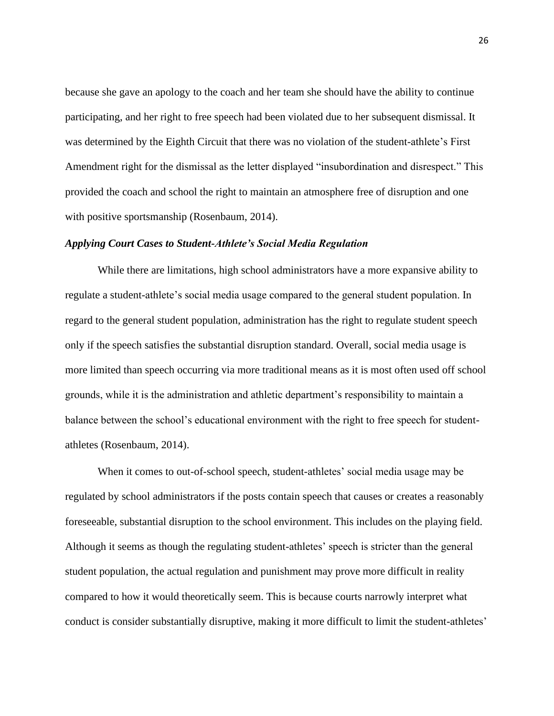because she gave an apology to the coach and her team she should have the ability to continue participating, and her right to free speech had been violated due to her subsequent dismissal. It was determined by the Eighth Circuit that there was no violation of the student-athlete's First Amendment right for the dismissal as the letter displayed "insubordination and disrespect." This provided the coach and school the right to maintain an atmosphere free of disruption and one with positive sportsmanship (Rosenbaum, 2014).

#### *Applying Court Cases to Student-Athlete's Social Media Regulation*

While there are limitations, high school administrators have a more expansive ability to regulate a student-athlete's social media usage compared to the general student population. In regard to the general student population, administration has the right to regulate student speech only if the speech satisfies the substantial disruption standard. Overall, social media usage is more limited than speech occurring via more traditional means as it is most often used off school grounds, while it is the administration and athletic department's responsibility to maintain a balance between the school's educational environment with the right to free speech for studentathletes (Rosenbaum, 2014).

When it comes to out-of-school speech, student-athletes' social media usage may be regulated by school administrators if the posts contain speech that causes or creates a reasonably foreseeable, substantial disruption to the school environment. This includes on the playing field. Although it seems as though the regulating student-athletes' speech is stricter than the general student population, the actual regulation and punishment may prove more difficult in reality compared to how it would theoretically seem. This is because courts narrowly interpret what conduct is consider substantially disruptive, making it more difficult to limit the student-athletes'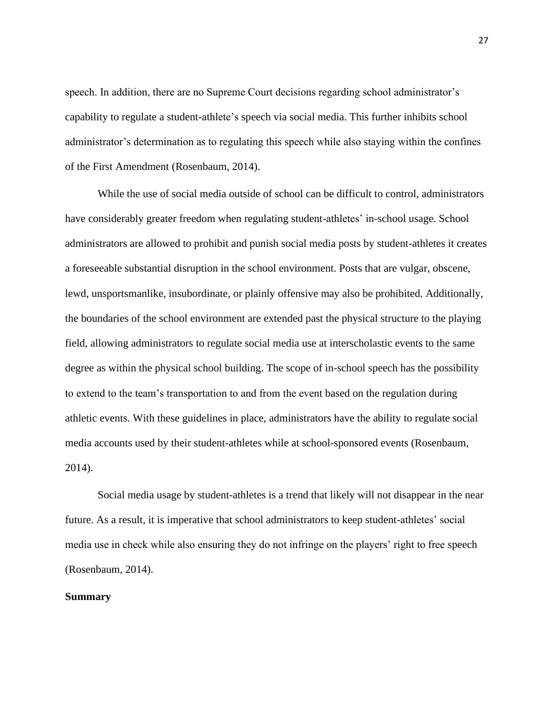speech. In addition, there are no Supreme Court decisions regarding school administrator's capability to regulate a student-athlete's speech via social media. This further inhibits school administrator's determination as to regulating this speech while also staying within the confines of the First Amendment (Rosenbaum, 2014).

While the use of social media outside of school can be difficult to control, administrators have considerably greater freedom when regulating student-athletes' in-school usage. School administrators are allowed to prohibit and punish social media posts by student-athletes it creates a foreseeable substantial disruption in the school environment. Posts that are vulgar, obscene, lewd, unsportsmanlike, insubordinate, or plainly offensive may also be prohibited. Additionally, the boundaries of the school environment are extended past the physical structure to the playing field, allowing administrators to regulate social media use at interscholastic events to the same degree as within the physical school building. The scope of in-school speech has the possibility to extend to the team's transportation to and from the event based on the regulation during athletic events. With these guidelines in place, administrators have the ability to regulate social media accounts used by their student-athletes while at school-sponsored events (Rosenbaum, 2014).

Social media usage by student-athletes is a trend that likely will not disappear in the near future. As a result, it is imperative that school administrators to keep student-athletes' social media use in check while also ensuring they do not infringe on the players' right to free speech (Rosenbaum, 2014).

#### **Summary**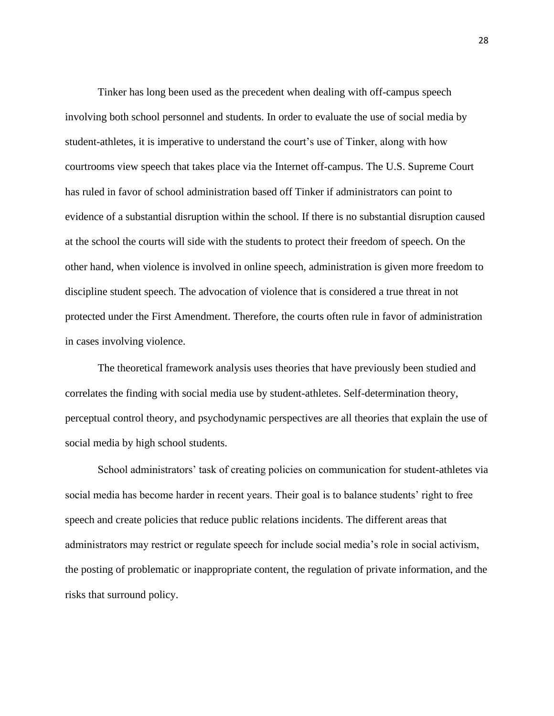Tinker has long been used as the precedent when dealing with off-campus speech involving both school personnel and students. In order to evaluate the use of social media by student-athletes, it is imperative to understand the court's use of Tinker, along with how courtrooms view speech that takes place via the Internet off-campus. The U.S. Supreme Court has ruled in favor of school administration based off Tinker if administrators can point to evidence of a substantial disruption within the school. If there is no substantial disruption caused at the school the courts will side with the students to protect their freedom of speech. On the other hand, when violence is involved in online speech, administration is given more freedom to discipline student speech. The advocation of violence that is considered a true threat in not protected under the First Amendment. Therefore, the courts often rule in favor of administration in cases involving violence.

The theoretical framework analysis uses theories that have previously been studied and correlates the finding with social media use by student-athletes. Self-determination theory, perceptual control theory, and psychodynamic perspectives are all theories that explain the use of social media by high school students.

School administrators' task of creating policies on communication for student-athletes via social media has become harder in recent years. Their goal is to balance students' right to free speech and create policies that reduce public relations incidents. The different areas that administrators may restrict or regulate speech for include social media's role in social activism, the posting of problematic or inappropriate content, the regulation of private information, and the risks that surround policy.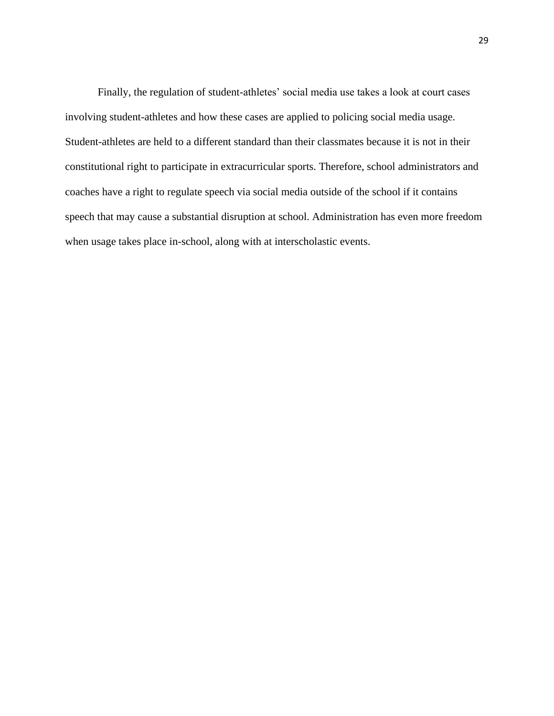Finally, the regulation of student-athletes' social media use takes a look at court cases involving student-athletes and how these cases are applied to policing social media usage. Student-athletes are held to a different standard than their classmates because it is not in their constitutional right to participate in extracurricular sports. Therefore, school administrators and coaches have a right to regulate speech via social media outside of the school if it contains speech that may cause a substantial disruption at school. Administration has even more freedom when usage takes place in-school, along with at interscholastic events.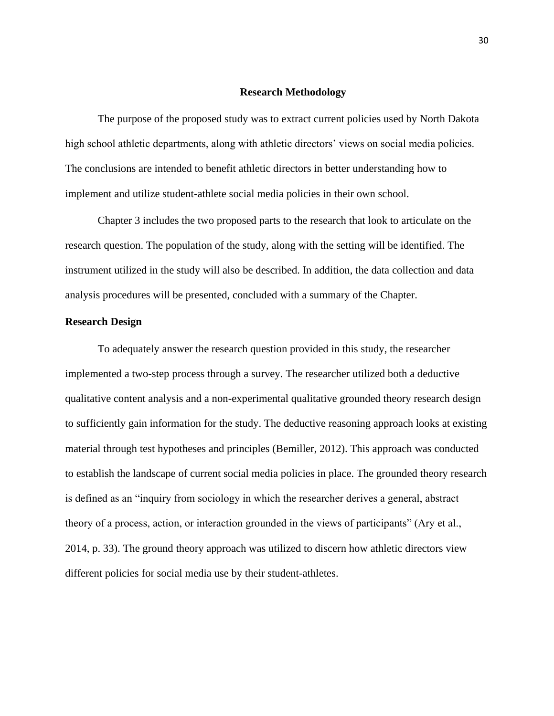#### **Research Methodology**

<span id="page-35-1"></span><span id="page-35-0"></span>The purpose of the proposed study was to extract current policies used by North Dakota high school athletic departments, along with athletic directors' views on social media policies. The conclusions are intended to benefit athletic directors in better understanding how to implement and utilize student-athlete social media policies in their own school.

Chapter 3 includes the two proposed parts to the research that look to articulate on the research question. The population of the study, along with the setting will be identified. The instrument utilized in the study will also be described. In addition, the data collection and data analysis procedures will be presented, concluded with a summary of the Chapter.

#### **Research Design**

<span id="page-35-2"></span>To adequately answer the research question provided in this study, the researcher implemented a two-step process through a survey. The researcher utilized both a deductive qualitative content analysis and a non-experimental qualitative grounded theory research design to sufficiently gain information for the study. The deductive reasoning approach looks at existing material through test hypotheses and principles (Bemiller, 2012). This approach was conducted to establish the landscape of current social media policies in place. The grounded theory research is defined as an "inquiry from sociology in which the researcher derives a general, abstract theory of a process, action, or interaction grounded in the views of participants" (Ary et al., 2014, p. 33). The ground theory approach was utilized to discern how athletic directors view different policies for social media use by their student-athletes.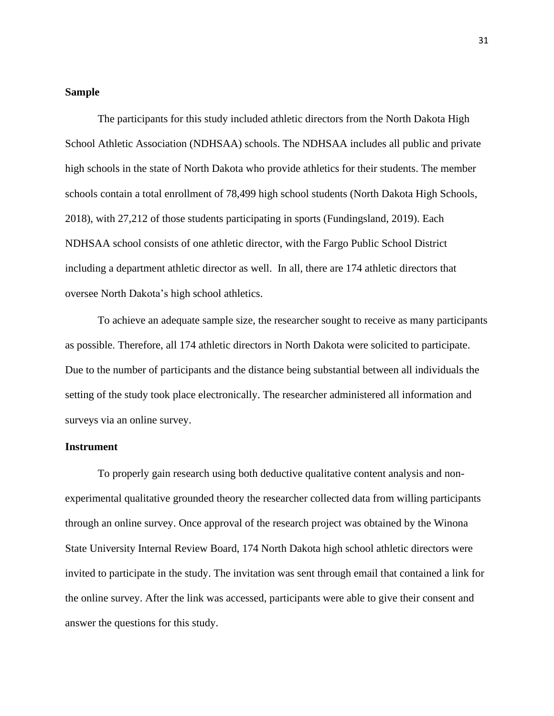## **Sample**

The participants for this study included athletic directors from the North Dakota High School Athletic Association (NDHSAA) schools. The NDHSAA includes all public and private high schools in the state of North Dakota who provide athletics for their students. The member schools contain a total enrollment of 78,499 high school students (North Dakota High Schools, 2018), with 27,212 of those students participating in sports (Fundingsland, 2019). Each NDHSAA school consists of one athletic director, with the Fargo Public School District including a department athletic director as well. In all, there are 174 athletic directors that oversee North Dakota's high school athletics.

To achieve an adequate sample size, the researcher sought to receive as many participants as possible. Therefore, all 174 athletic directors in North Dakota were solicited to participate. Due to the number of participants and the distance being substantial between all individuals the setting of the study took place electronically. The researcher administered all information and surveys via an online survey.

## **Instrument**

To properly gain research using both deductive qualitative content analysis and nonexperimental qualitative grounded theory the researcher collected data from willing participants through an online survey. Once approval of the research project was obtained by the Winona State University Internal Review Board, 174 North Dakota high school athletic directors were invited to participate in the study. The invitation was sent through email that contained a link for the online survey. After the link was accessed, participants were able to give their consent and answer the questions for this study.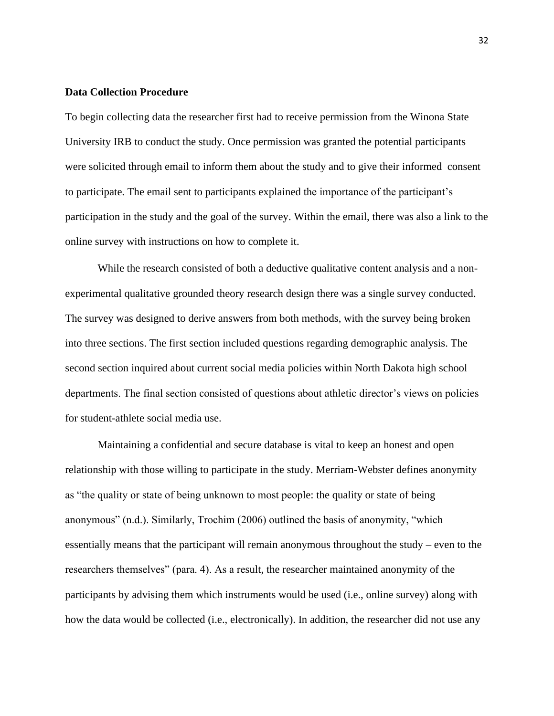#### **Data Collection Procedure**

To begin collecting data the researcher first had to receive permission from the Winona State University IRB to conduct the study. Once permission was granted the potential participants were solicited through email to inform them about the study and to give their informed consent to participate. The email sent to participants explained the importance of the participant's participation in the study and the goal of the survey. Within the email, there was also a link to the online survey with instructions on how to complete it.

While the research consisted of both a deductive qualitative content analysis and a nonexperimental qualitative grounded theory research design there was a single survey conducted. The survey was designed to derive answers from both methods, with the survey being broken into three sections. The first section included questions regarding demographic analysis. The second section inquired about current social media policies within North Dakota high school departments. The final section consisted of questions about athletic director's views on policies for student-athlete social media use.

Maintaining a confidential and secure database is vital to keep an honest and open relationship with those willing to participate in the study. Merriam-Webster defines anonymity as "the quality or state of being unknown to most people: the quality or state of being anonymous" (n.d.). Similarly, Trochim (2006) outlined the basis of anonymity, "which essentially means that the participant will remain anonymous throughout the study – even to the researchers themselves" (para. 4). As a result, the researcher maintained anonymity of the participants by advising them which instruments would be used (i.e., online survey) along with how the data would be collected (i.e., electronically). In addition, the researcher did not use any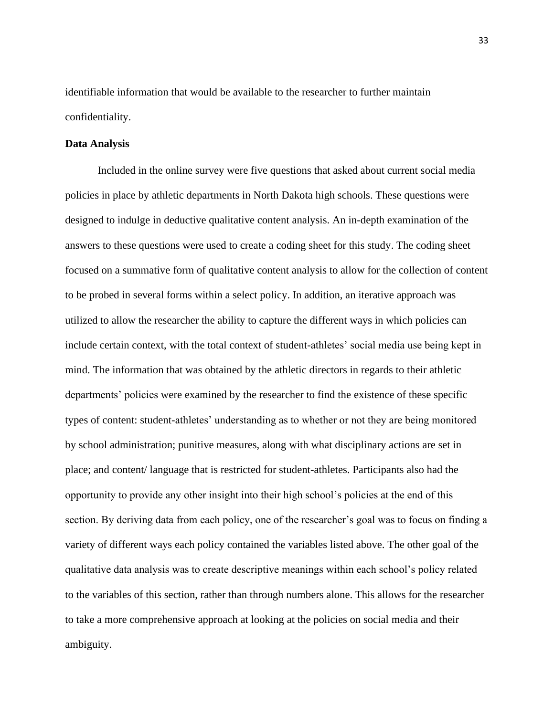identifiable information that would be available to the researcher to further maintain confidentiality.

## **Data Analysis**

Included in the online survey were five questions that asked about current social media policies in place by athletic departments in North Dakota high schools. These questions were designed to indulge in deductive qualitative content analysis. An in-depth examination of the answers to these questions were used to create a coding sheet for this study. The coding sheet focused on a summative form of qualitative content analysis to allow for the collection of content to be probed in several forms within a select policy. In addition, an iterative approach was utilized to allow the researcher the ability to capture the different ways in which policies can include certain context, with the total context of student-athletes' social media use being kept in mind. The information that was obtained by the athletic directors in regards to their athletic departments' policies were examined by the researcher to find the existence of these specific types of content: student-athletes' understanding as to whether or not they are being monitored by school administration; punitive measures, along with what disciplinary actions are set in place; and content/ language that is restricted for student-athletes. Participants also had the opportunity to provide any other insight into their high school's policies at the end of this section. By deriving data from each policy, one of the researcher's goal was to focus on finding a variety of different ways each policy contained the variables listed above. The other goal of the qualitative data analysis was to create descriptive meanings within each school's policy related to the variables of this section, rather than through numbers alone. This allows for the researcher to take a more comprehensive approach at looking at the policies on social media and their ambiguity.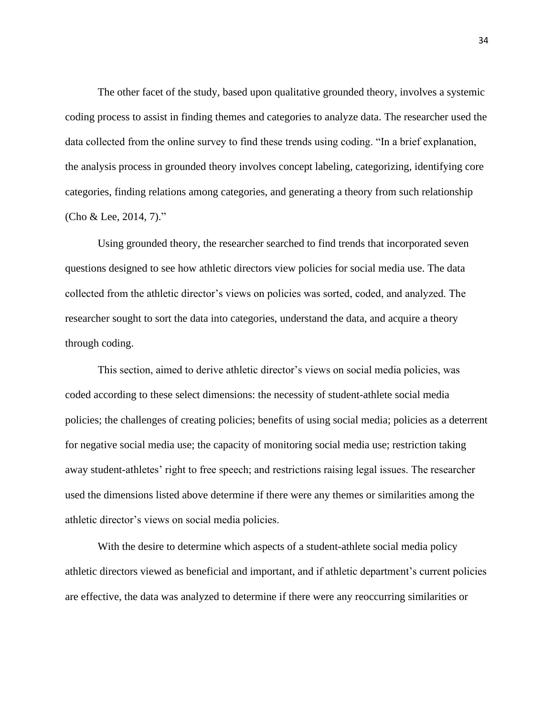The other facet of the study, based upon qualitative grounded theory, involves a systemic coding process to assist in finding themes and categories to analyze data. The researcher used the data collected from the online survey to find these trends using coding. "In a brief explanation, the analysis process in grounded theory involves concept labeling, categorizing, identifying core categories, finding relations among categories, and generating a theory from such relationship (Cho & Lee, 2014, 7)."

Using grounded theory, the researcher searched to find trends that incorporated seven questions designed to see how athletic directors view policies for social media use. The data collected from the athletic director's views on policies was sorted, coded, and analyzed. The researcher sought to sort the data into categories, understand the data, and acquire a theory through coding.

This section, aimed to derive athletic director's views on social media policies, was coded according to these select dimensions: the necessity of student-athlete social media policies; the challenges of creating policies; benefits of using social media; policies as a deterrent for negative social media use; the capacity of monitoring social media use; restriction taking away student-athletes' right to free speech; and restrictions raising legal issues. The researcher used the dimensions listed above determine if there were any themes or similarities among the athletic director's views on social media policies.

With the desire to determine which aspects of a student-athlete social media policy athletic directors viewed as beneficial and important, and if athletic department's current policies are effective, the data was analyzed to determine if there were any reoccurring similarities or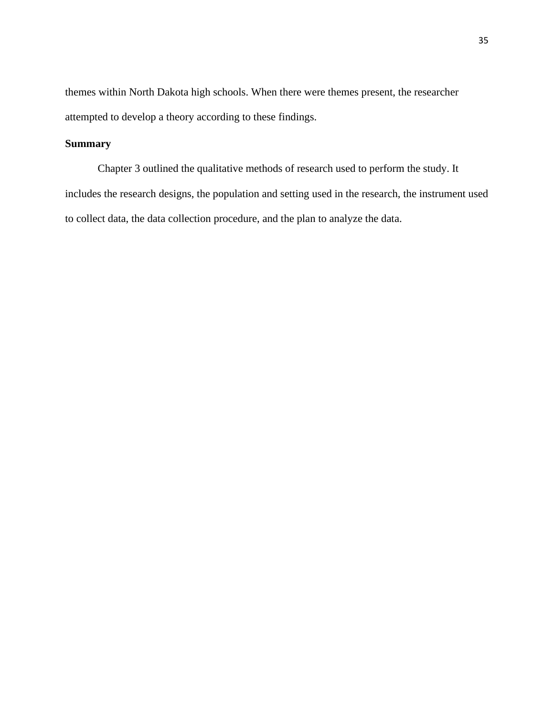themes within North Dakota high schools. When there were themes present, the researcher attempted to develop a theory according to these findings.

# **Summary**

Chapter 3 outlined the qualitative methods of research used to perform the study. It includes the research designs, the population and setting used in the research, the instrument used to collect data, the data collection procedure, and the plan to analyze the data.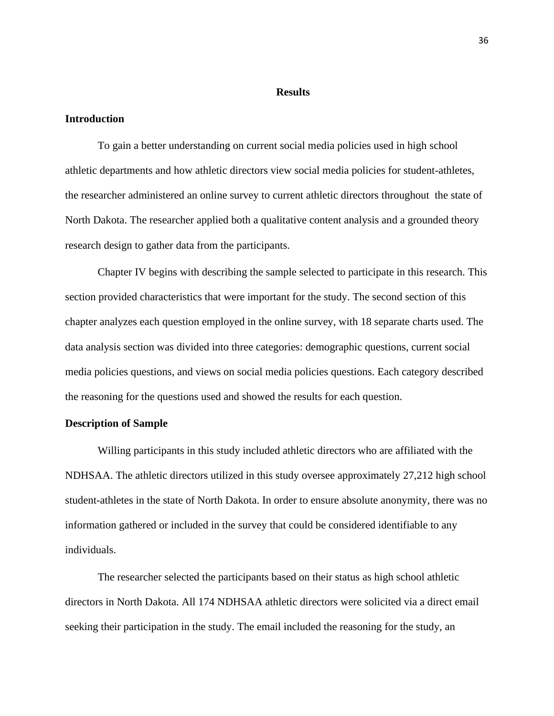#### **Results**

#### **Introduction**

To gain a better understanding on current social media policies used in high school athletic departments and how athletic directors view social media policies for student-athletes, the researcher administered an online survey to current athletic directors throughout the state of North Dakota. The researcher applied both a qualitative content analysis and a grounded theory research design to gather data from the participants.

Chapter IV begins with describing the sample selected to participate in this research. This section provided characteristics that were important for the study. The second section of this chapter analyzes each question employed in the online survey, with 18 separate charts used. The data analysis section was divided into three categories: demographic questions, current social media policies questions, and views on social media policies questions. Each category described the reasoning for the questions used and showed the results for each question.

## **Description of Sample**

Willing participants in this study included athletic directors who are affiliated with the NDHSAA. The athletic directors utilized in this study oversee approximately 27,212 high school student-athletes in the state of North Dakota. In order to ensure absolute anonymity, there was no information gathered or included in the survey that could be considered identifiable to any individuals.

The researcher selected the participants based on their status as high school athletic directors in North Dakota. All 174 NDHSAA athletic directors were solicited via a direct email seeking their participation in the study. The email included the reasoning for the study, an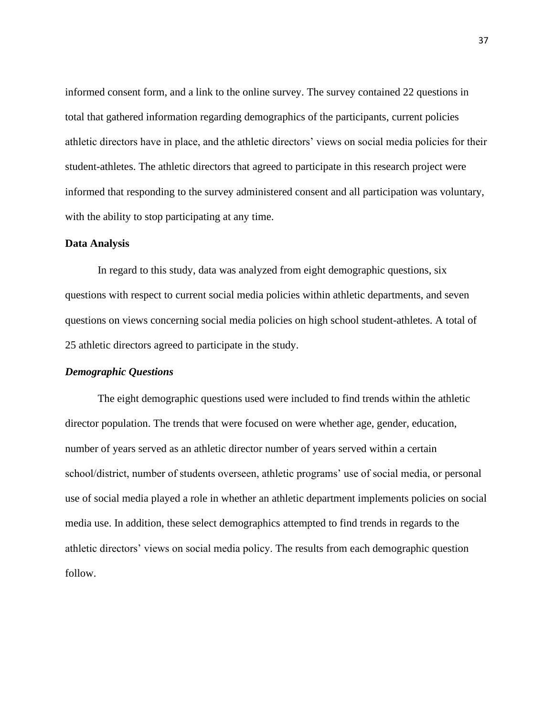informed consent form, and a link to the online survey. The survey contained 22 questions in total that gathered information regarding demographics of the participants, current policies athletic directors have in place, and the athletic directors' views on social media policies for their student-athletes. The athletic directors that agreed to participate in this research project were informed that responding to the survey administered consent and all participation was voluntary, with the ability to stop participating at any time.

## **Data Analysis**

In regard to this study, data was analyzed from eight demographic questions, six questions with respect to current social media policies within athletic departments, and seven questions on views concerning social media policies on high school student-athletes. A total of 25 athletic directors agreed to participate in the study.

#### *Demographic Questions*

The eight demographic questions used were included to find trends within the athletic director population. The trends that were focused on were whether age, gender, education, number of years served as an athletic director number of years served within a certain school/district, number of students overseen, athletic programs' use of social media, or personal use of social media played a role in whether an athletic department implements policies on social media use. In addition, these select demographics attempted to find trends in regards to the athletic directors' views on social media policy. The results from each demographic question follow.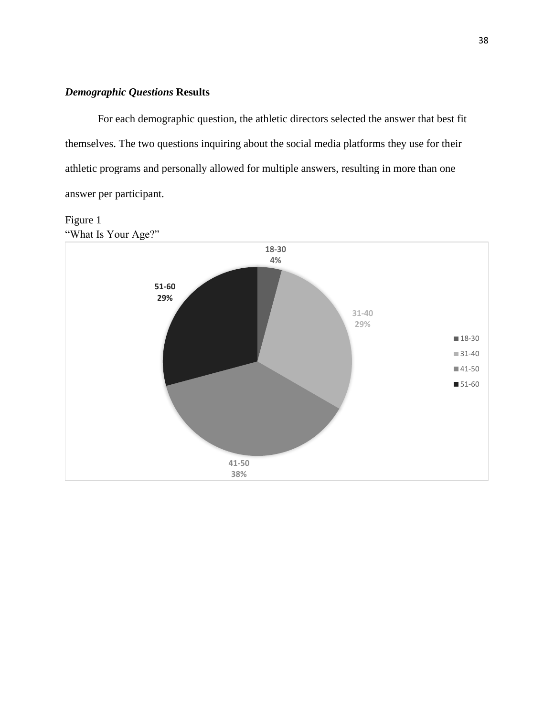## *Demographic Questions* **Results**

For each demographic question, the athletic directors selected the answer that best fit themselves. The two questions inquiring about the social media platforms they use for their athletic programs and personally allowed for multiple answers, resulting in more than one answer per participant.

# Figure 1 "What Is Your Age?"

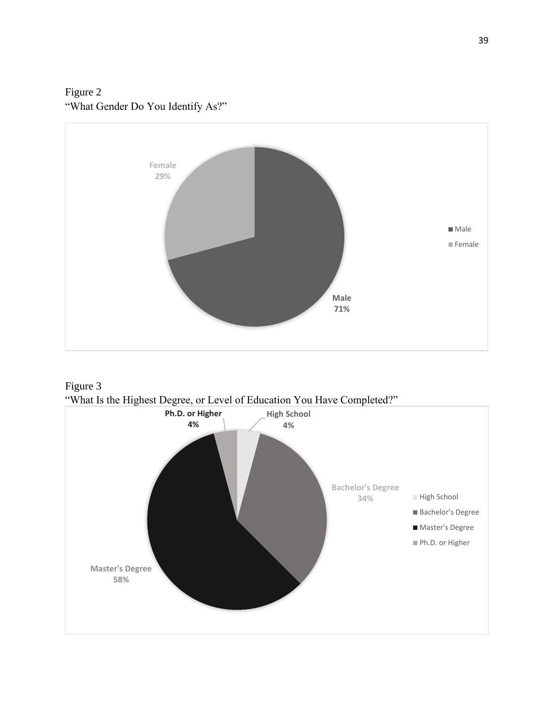Figure 2 "What Gender Do You Identify As?"





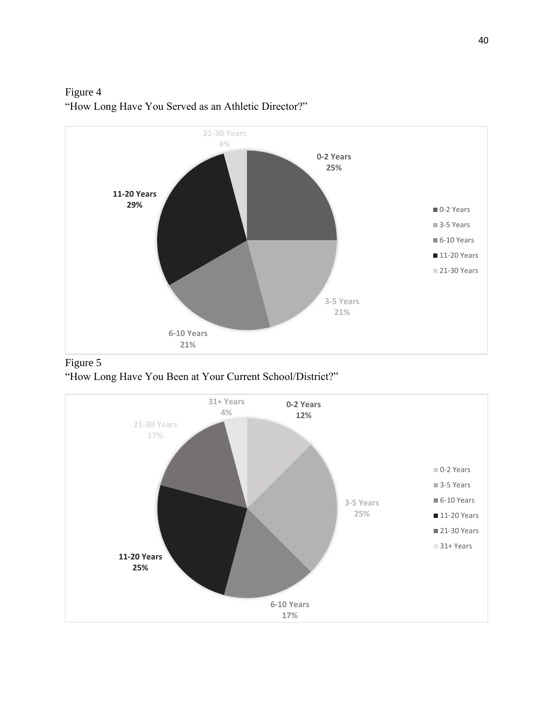Figure 4 "How Long Have You Served as an Athletic Director?" **21-30 Years 4%**





"How Long Have You Been at Your Current School/District?"

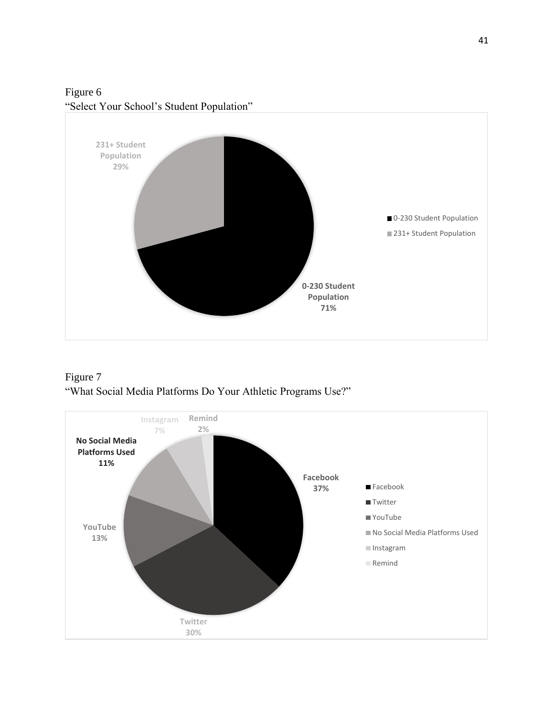Figure 6 "Select Your School's Student Population"



Figure 7 "What Social Media Platforms Do Your Athletic Programs Use?"

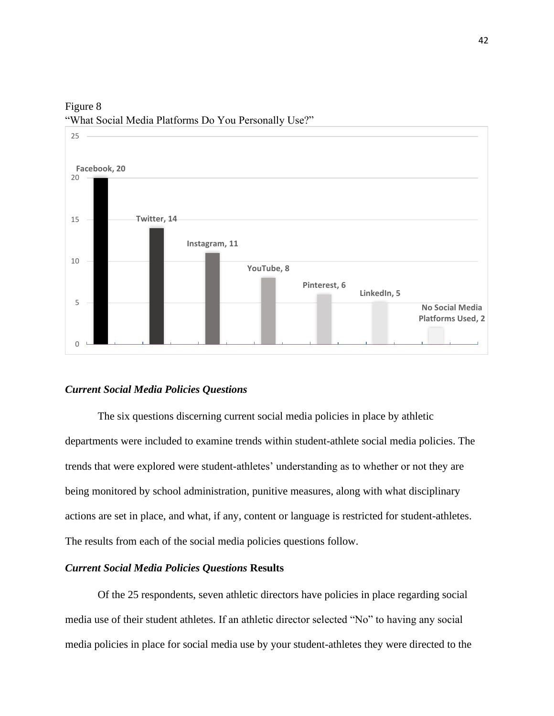

Figure 8 "What Social Media Platforms Do You Personally Use?"

#### *Current Social Media Policies Questions*

The six questions discerning current social media policies in place by athletic departments were included to examine trends within student-athlete social media policies. The trends that were explored were student-athletes' understanding as to whether or not they are being monitored by school administration, punitive measures, along with what disciplinary actions are set in place, and what, if any, content or language is restricted for student-athletes. The results from each of the social media policies questions follow.

## *Current Social Media Policies Questions* **Results**

Of the 25 respondents, seven athletic directors have policies in place regarding social media use of their student athletes. If an athletic director selected "No" to having any social media policies in place for social media use by your student-athletes they were directed to the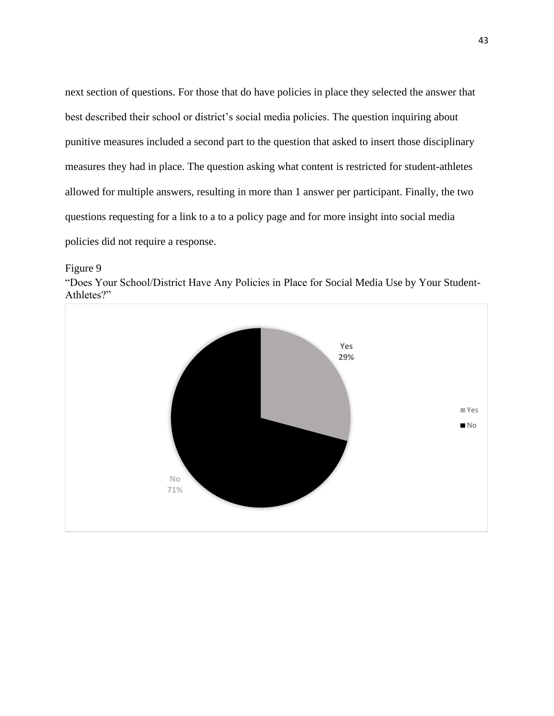next section of questions. For those that do have policies in place they selected the answer that best described their school or district's social media policies. The question inquiring about punitive measures included a second part to the question that asked to insert those disciplinary measures they had in place. The question asking what content is restricted for student-athletes allowed for multiple answers, resulting in more than 1 answer per participant. Finally, the two questions requesting for a link to a to a policy page and for more insight into social media policies did not require a response.

Figure 9

"Does Your School/District Have Any Policies in Place for Social Media Use by Your Student-Athletes?"

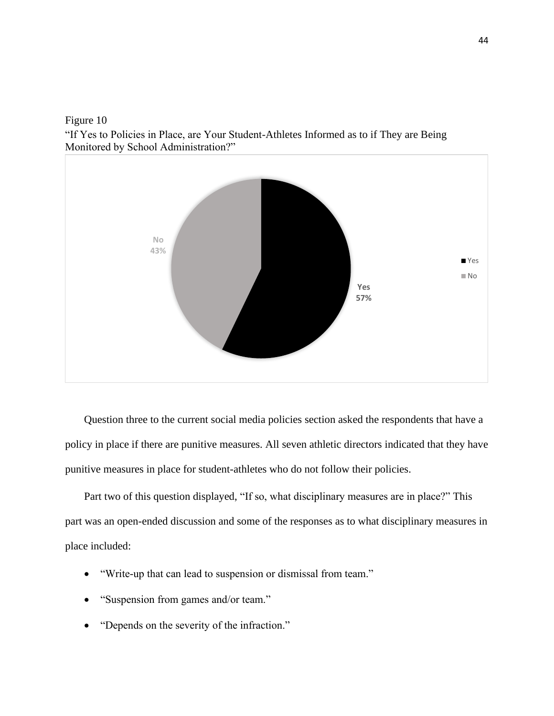"If Yes to Policies in Place, are Your Student-Athletes Informed as to if They are Being Monitored by School Administration?"



Question three to the current social media policies section asked the respondents that have a policy in place if there are punitive measures. All seven athletic directors indicated that they have punitive measures in place for student-athletes who do not follow their policies.

Part two of this question displayed, "If so, what disciplinary measures are in place?" This part was an open-ended discussion and some of the responses as to what disciplinary measures in place included:

- "Write-up that can lead to suspension or dismissal from team."
- "Suspension from games and/or team."
- "Depends on the severity of the infraction."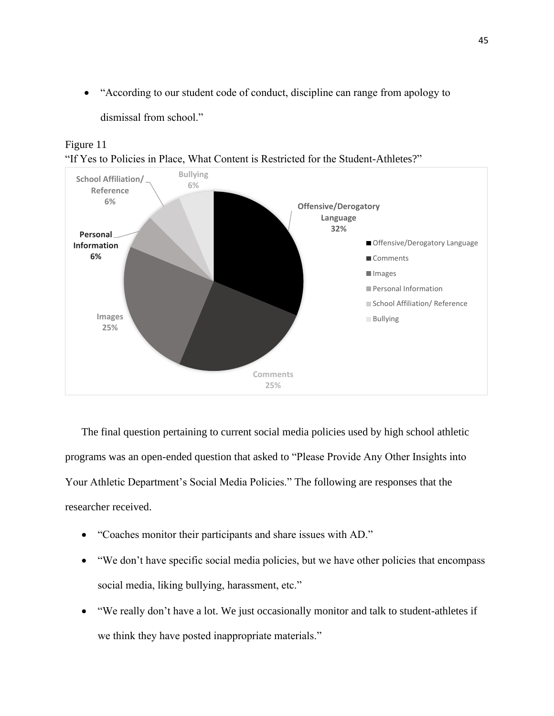• "According to our student code of conduct, discipline can range from apology to

dismissal from school."



Figure 11 "If Yes to Policies in Place, What Content is Restricted for the Student-Athletes?"

The final question pertaining to current social media policies used by high school athletic programs was an open-ended question that asked to "Please Provide Any Other Insights into Your Athletic Department's Social Media Policies." The following are responses that the researcher received.

- "Coaches monitor their participants and share issues with AD."
- "We don't have specific social media policies, but we have other policies that encompass social media, liking bullying, harassment, etc."
- "We really don't have a lot. We just occasionally monitor and talk to student-athletes if we think they have posted inappropriate materials."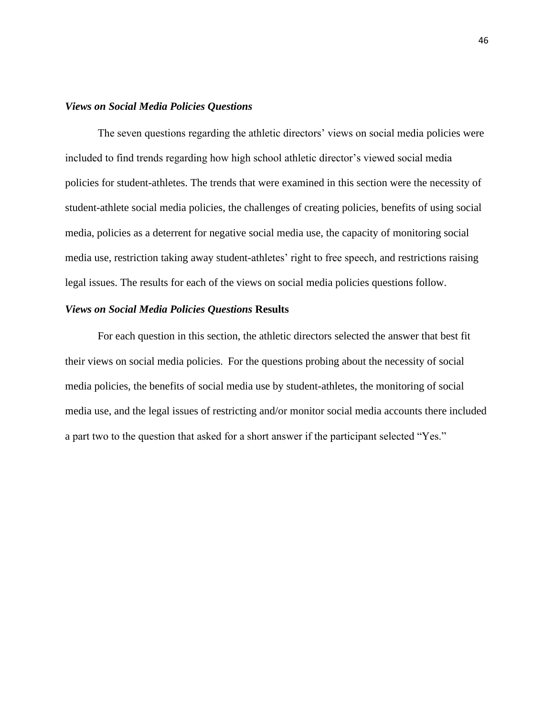## *Views on Social Media Policies Questions*

The seven questions regarding the athletic directors' views on social media policies were included to find trends regarding how high school athletic director's viewed social media policies for student-athletes. The trends that were examined in this section were the necessity of student-athlete social media policies, the challenges of creating policies, benefits of using social media, policies as a deterrent for negative social media use, the capacity of monitoring social media use, restriction taking away student-athletes' right to free speech, and restrictions raising legal issues. The results for each of the views on social media policies questions follow.

## *Views on Social Media Policies Questions* **Results**

For each question in this section, the athletic directors selected the answer that best fit their views on social media policies. For the questions probing about the necessity of social media policies, the benefits of social media use by student-athletes, the monitoring of social media use, and the legal issues of restricting and/or monitor social media accounts there included a part two to the question that asked for a short answer if the participant selected "Yes."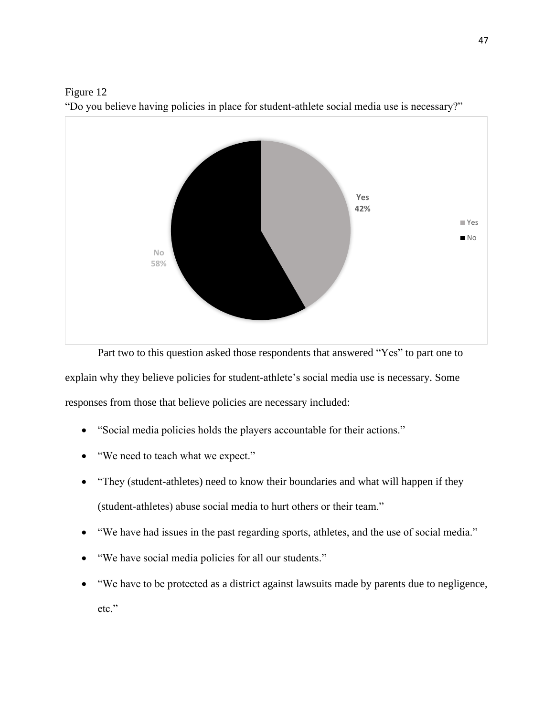

Figure 12 "Do you believe having policies in place for student-athlete social media use is necessary?"

Part two to this question asked those respondents that answered "Yes" to part one to explain why they believe policies for student-athlete's social media use is necessary. Some responses from those that believe policies are necessary included:

- "Social media policies holds the players accountable for their actions."
- "We need to teach what we expect."
- "They (student-athletes) need to know their boundaries and what will happen if they (student-athletes) abuse social media to hurt others or their team."
- "We have had issues in the past regarding sports, athletes, and the use of social media."
- "We have social media policies for all our students."
- "We have to be protected as a district against lawsuits made by parents due to negligence, etc."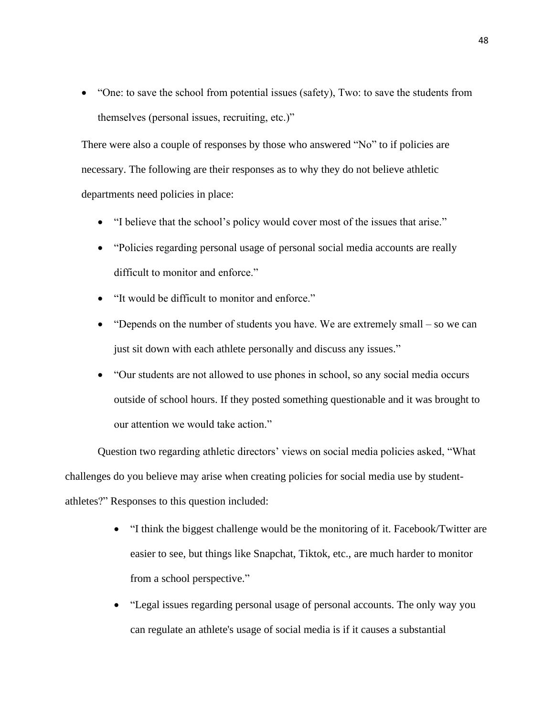• "One: to save the school from potential issues (safety), Two: to save the students from themselves (personal issues, recruiting, etc.)"

There were also a couple of responses by those who answered "No" to if policies are necessary. The following are their responses as to why they do not believe athletic departments need policies in place:

- "I believe that the school's policy would cover most of the issues that arise."
- "Policies regarding personal usage of personal social media accounts are really difficult to monitor and enforce."
- "It would be difficult to monitor and enforce."
- "Depends on the number of students you have. We are extremely small so we can just sit down with each athlete personally and discuss any issues."
- "Our students are not allowed to use phones in school, so any social media occurs outside of school hours. If they posted something questionable and it was brought to our attention we would take action."

Question two regarding athletic directors' views on social media policies asked, "What challenges do you believe may arise when creating policies for social media use by studentathletes?" Responses to this question included:

- "I think the biggest challenge would be the monitoring of it. Facebook/Twitter are easier to see, but things like Snapchat, Tiktok, etc., are much harder to monitor from a school perspective."
- "Legal issues regarding personal usage of personal accounts. The only way you can regulate an athlete's usage of social media is if it causes a substantial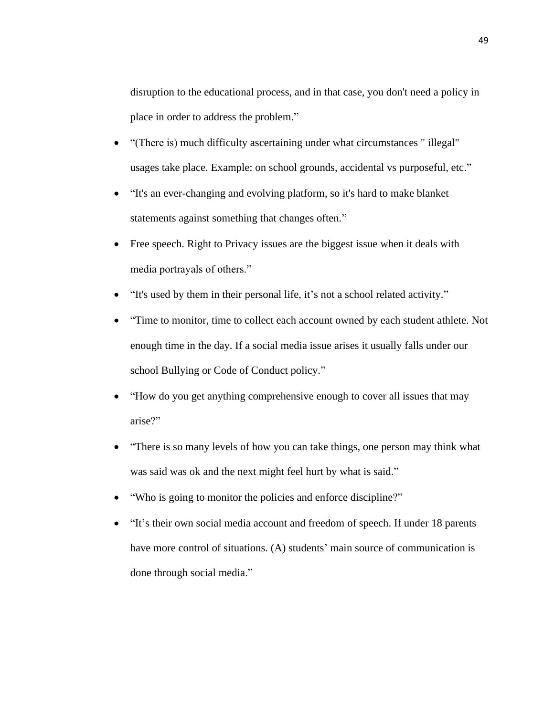disruption to the educational process, and in that case, you don't need a policy in place in order to address the problem."

- "(There is) much difficulty ascertaining under what circumstances " illegal" usages take place. Example: on school grounds, accidental vs purposeful, etc."
- "It's an ever-changing and evolving platform, so it's hard to make blanket statements against something that changes often."
- Free speech. Right to Privacy issues are the biggest issue when it deals with media portrayals of others."
- "It's used by them in their personal life, it's not a school related activity."
- "Time to monitor, time to collect each account owned by each student athlete. Not enough time in the day. If a social media issue arises it usually falls under our school Bullying or Code of Conduct policy."
- "How do you get anything comprehensive enough to cover all issues that may arise?"
- "There is so many levels of how you can take things, one person may think what was said was ok and the next might feel hurt by what is said."
- "Who is going to monitor the policies and enforce discipline?"
- "It's their own social media account and freedom of speech. If under 18 parents have more control of situations. (A) students' main source of communication is done through social media."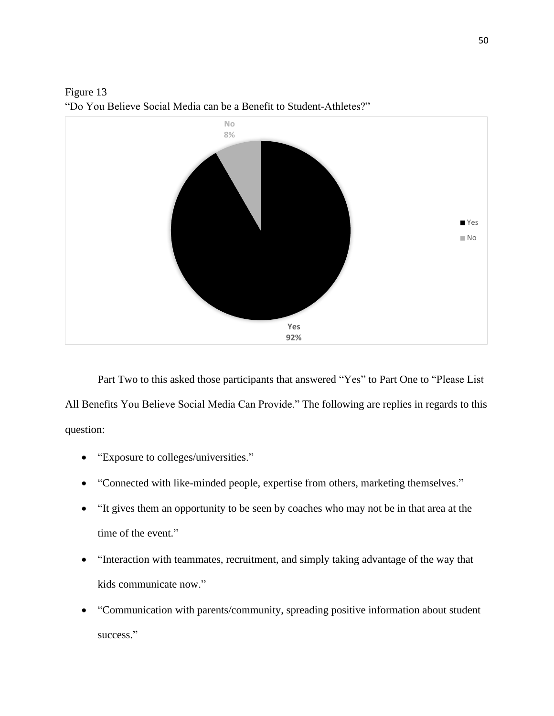

Figure 13 "Do You Believe Social Media can be a Benefit to Student-Athletes?"

Part Two to this asked those participants that answered "Yes" to Part One to "Please List All Benefits You Believe Social Media Can Provide." The following are replies in regards to this question:

- "Exposure to colleges/universities."
- "Connected with like-minded people, expertise from others, marketing themselves."
- "It gives them an opportunity to be seen by coaches who may not be in that area at the time of the event."
- "Interaction with teammates, recruitment, and simply taking advantage of the way that kids communicate now."
- "Communication with parents/community, spreading positive information about student success."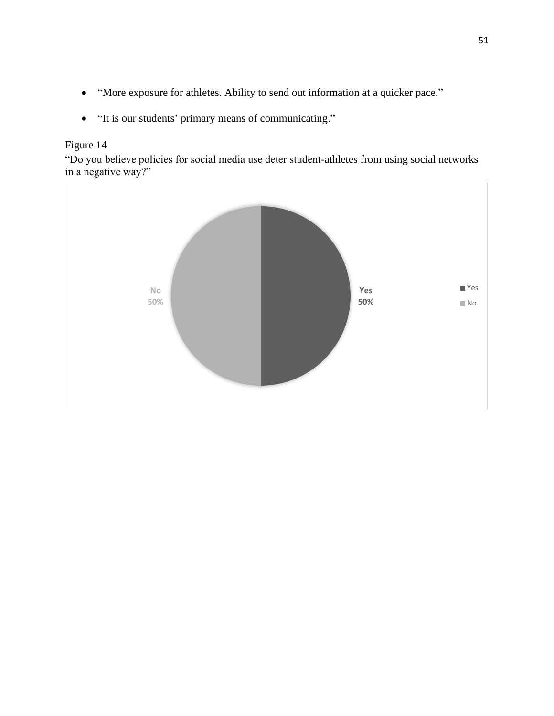- "More exposure for athletes. Ability to send out information at a quicker pace."
- "It is our students' primary means of communicating."

"Do you believe policies for social media use deter student-athletes from using social networks in a negative way?"

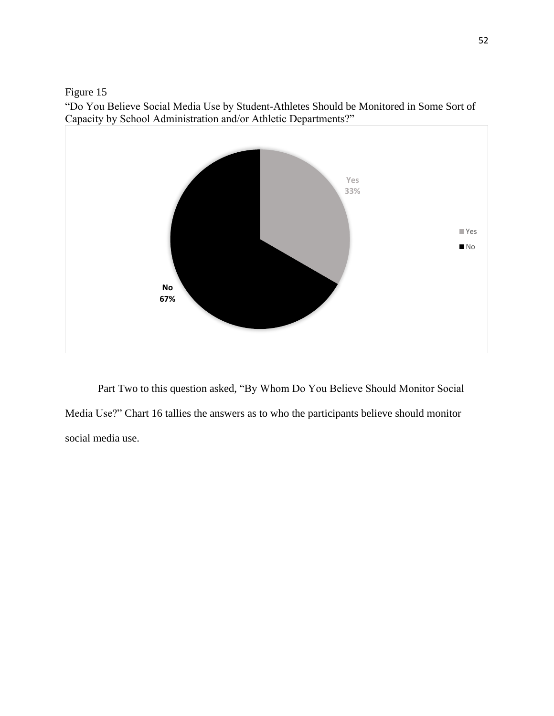"Do You Believe Social Media Use by Student-Athletes Should be Monitored in Some Sort of Capacity by School Administration and/or Athletic Departments?"



Part Two to this question asked, "By Whom Do You Believe Should Monitor Social Media Use?" Chart 16 tallies the answers as to who the participants believe should monitor social media use.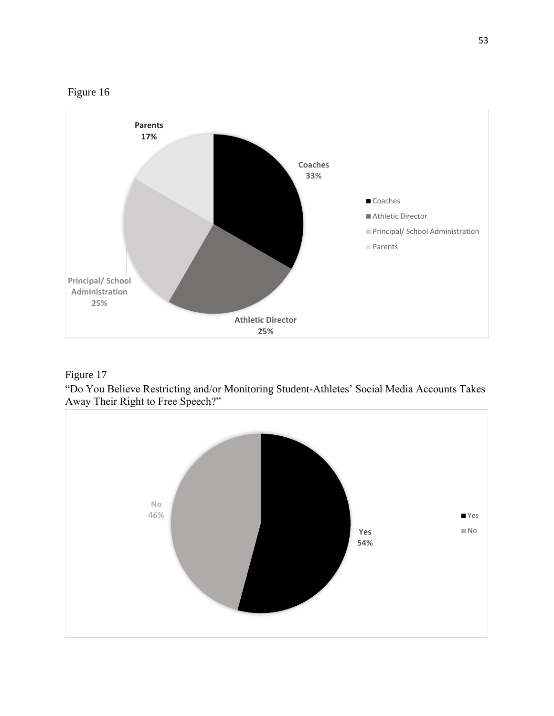



"Do You Believe Restricting and/or Monitoring Student-Athletes' Social Media Accounts Takes Away Their Right to Free Speech?"

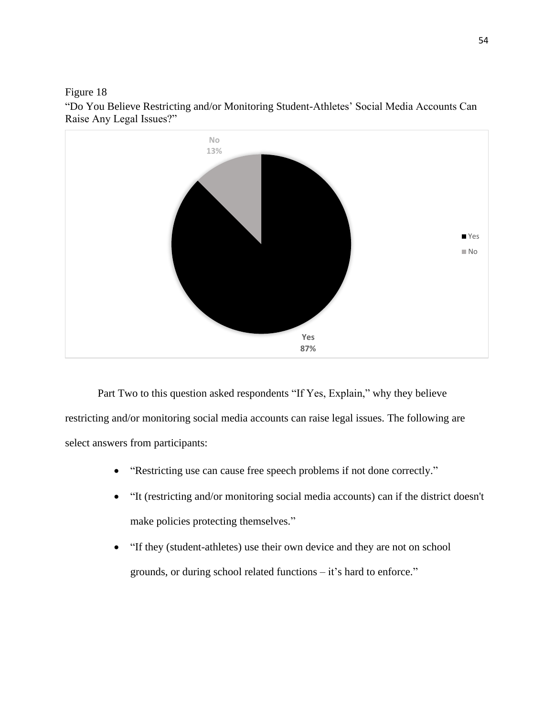

"Do You Believe Restricting and/or Monitoring Student-Athletes' Social Media Accounts Can Raise Any Legal Issues?"

Part Two to this question asked respondents "If Yes, Explain," why they believe restricting and/or monitoring social media accounts can raise legal issues. The following are select answers from participants:

- "Restricting use can cause free speech problems if not done correctly."
- "It (restricting and/or monitoring social media accounts) can if the district doesn't make policies protecting themselves."
- "If they (student-athletes) use their own device and they are not on school grounds, or during school related functions – it's hard to enforce."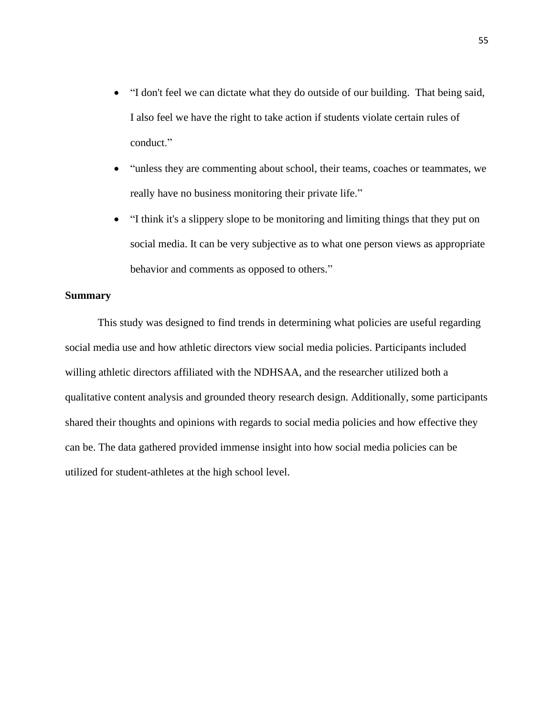- "I don't feel we can dictate what they do outside of our building. That being said, I also feel we have the right to take action if students violate certain rules of conduct."
- "unless they are commenting about school, their teams, coaches or teammates, we really have no business monitoring their private life."
- "I think it's a slippery slope to be monitoring and limiting things that they put on social media. It can be very subjective as to what one person views as appropriate behavior and comments as opposed to others."

## **Summary**

This study was designed to find trends in determining what policies are useful regarding social media use and how athletic directors view social media policies. Participants included willing athletic directors affiliated with the NDHSAA, and the researcher utilized both a qualitative content analysis and grounded theory research design. Additionally, some participants shared their thoughts and opinions with regards to social media policies and how effective they can be. The data gathered provided immense insight into how social media policies can be utilized for student-athletes at the high school level.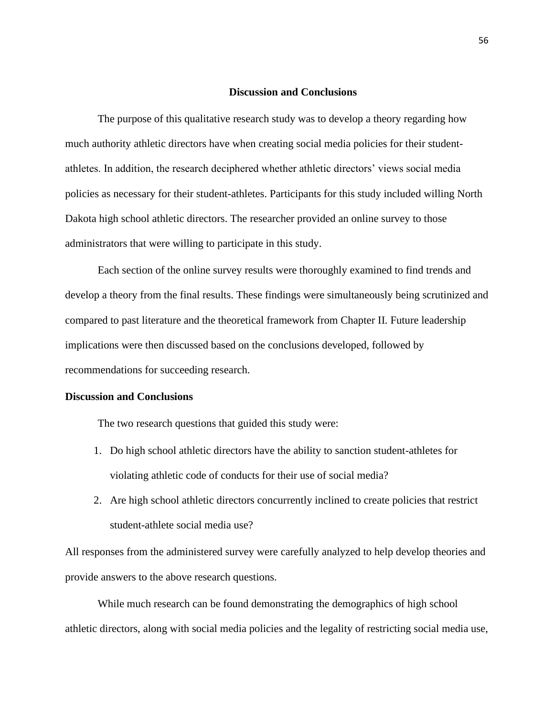#### **Discussion and Conclusions**

The purpose of this qualitative research study was to develop a theory regarding how much authority athletic directors have when creating social media policies for their studentathletes. In addition, the research deciphered whether athletic directors' views social media policies as necessary for their student-athletes. Participants for this study included willing North Dakota high school athletic directors. The researcher provided an online survey to those administrators that were willing to participate in this study.

Each section of the online survey results were thoroughly examined to find trends and develop a theory from the final results. These findings were simultaneously being scrutinized and compared to past literature and the theoretical framework from Chapter II. Future leadership implications were then discussed based on the conclusions developed, followed by recommendations for succeeding research.

## **Discussion and Conclusions**

The two research questions that guided this study were:

- 1. Do high school athletic directors have the ability to sanction student-athletes for violating athletic code of conducts for their use of social media?
- 2. Are high school athletic directors concurrently inclined to create policies that restrict student-athlete social media use?

All responses from the administered survey were carefully analyzed to help develop theories and provide answers to the above research questions.

While much research can be found demonstrating the demographics of high school athletic directors, along with social media policies and the legality of restricting social media use,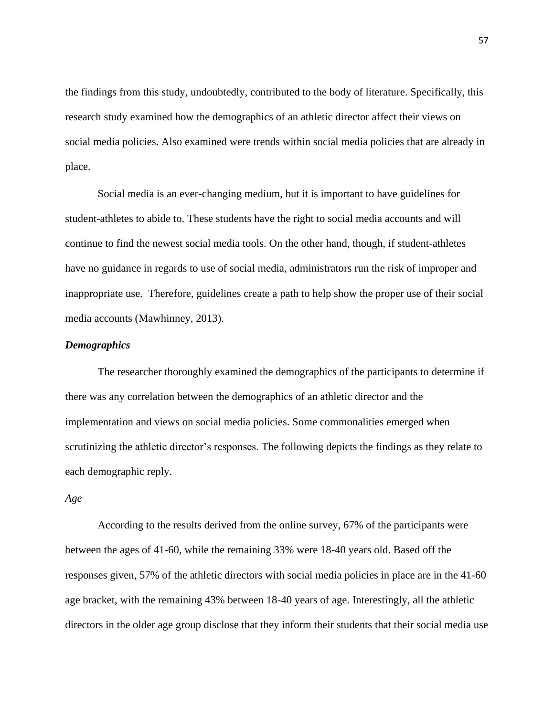the findings from this study, undoubtedly, contributed to the body of literature. Specifically, this research study examined how the demographics of an athletic director affect their views on social media policies. Also examined were trends within social media policies that are already in place.

Social media is an ever-changing medium, but it is important to have guidelines for student-athletes to abide to. These students have the right to social media accounts and will continue to find the newest social media tools. On the other hand, though, if student-athletes have no guidance in regards to use of social media, administrators run the risk of improper and inappropriate use. Therefore, guidelines create a path to help show the proper use of their social media accounts (Mawhinney, 2013).

## *Demographics*

The researcher thoroughly examined the demographics of the participants to determine if there was any correlation between the demographics of an athletic director and the implementation and views on social media policies. Some commonalities emerged when scrutinizing the athletic director's responses. The following depicts the findings as they relate to each demographic reply.

### *Age*

According to the results derived from the online survey, 67% of the participants were between the ages of 41-60, while the remaining 33% were 18-40 years old. Based off the responses given, 57% of the athletic directors with social media policies in place are in the 41-60 age bracket, with the remaining 43% between 18-40 years of age. Interestingly, all the athletic directors in the older age group disclose that they inform their students that their social media use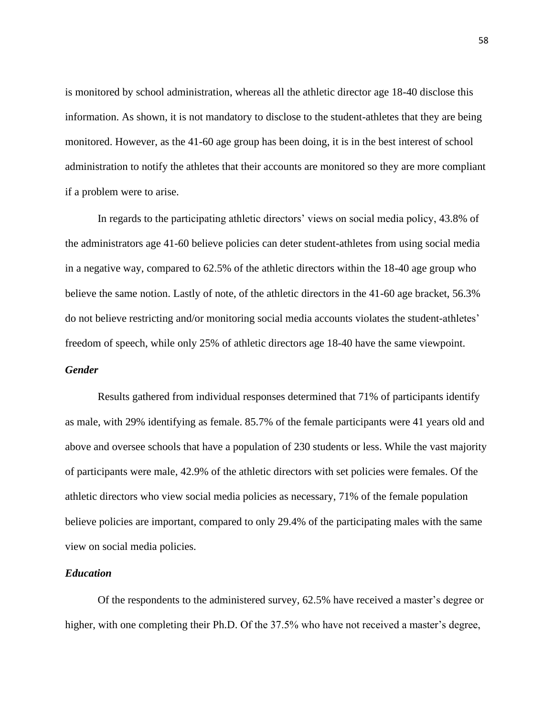is monitored by school administration, whereas all the athletic director age 18-40 disclose this information. As shown, it is not mandatory to disclose to the student-athletes that they are being monitored. However, as the 41-60 age group has been doing, it is in the best interest of school administration to notify the athletes that their accounts are monitored so they are more compliant if a problem were to arise.

In regards to the participating athletic directors' views on social media policy, 43.8% of the administrators age 41-60 believe policies can deter student-athletes from using social media in a negative way, compared to 62.5% of the athletic directors within the 18-40 age group who believe the same notion. Lastly of note, of the athletic directors in the 41-60 age bracket, 56.3% do not believe restricting and/or monitoring social media accounts violates the student-athletes' freedom of speech, while only 25% of athletic directors age 18-40 have the same viewpoint. *Gender*

Results gathered from individual responses determined that 71% of participants identify as male, with 29% identifying as female. 85.7% of the female participants were 41 years old and above and oversee schools that have a population of 230 students or less. While the vast majority of participants were male, 42.9% of the athletic directors with set policies were females. Of the athletic directors who view social media policies as necessary, 71% of the female population believe policies are important, compared to only 29.4% of the participating males with the same view on social media policies.

## *Education*

Of the respondents to the administered survey, 62.5% have received a master's degree or higher, with one completing their Ph.D. Of the 37.5% who have not received a master's degree,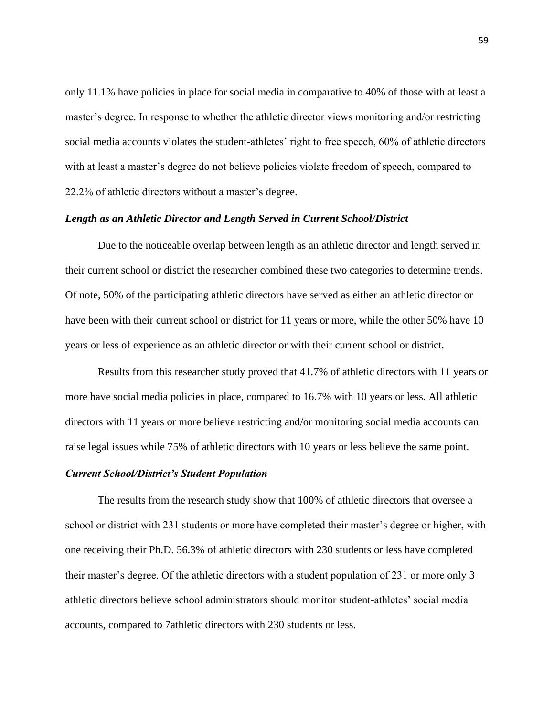only 11.1% have policies in place for social media in comparative to 40% of those with at least a master's degree. In response to whether the athletic director views monitoring and/or restricting social media accounts violates the student-athletes' right to free speech, 60% of athletic directors with at least a master's degree do not believe policies violate freedom of speech, compared to 22.2% of athletic directors without a master's degree.

#### *Length as an Athletic Director and Length Served in Current School/District*

Due to the noticeable overlap between length as an athletic director and length served in their current school or district the researcher combined these two categories to determine trends. Of note, 50% of the participating athletic directors have served as either an athletic director or have been with their current school or district for 11 years or more, while the other 50% have 10 years or less of experience as an athletic director or with their current school or district.

Results from this researcher study proved that 41.7% of athletic directors with 11 years or more have social media policies in place, compared to 16.7% with 10 years or less. All athletic directors with 11 years or more believe restricting and/or monitoring social media accounts can raise legal issues while 75% of athletic directors with 10 years or less believe the same point.

## *Current School/District's Student Population*

The results from the research study show that 100% of athletic directors that oversee a school or district with 231 students or more have completed their master's degree or higher, with one receiving their Ph.D. 56.3% of athletic directors with 230 students or less have completed their master's degree. Of the athletic directors with a student population of 231 or more only 3 athletic directors believe school administrators should monitor student-athletes' social media accounts, compared to 7athletic directors with 230 students or less.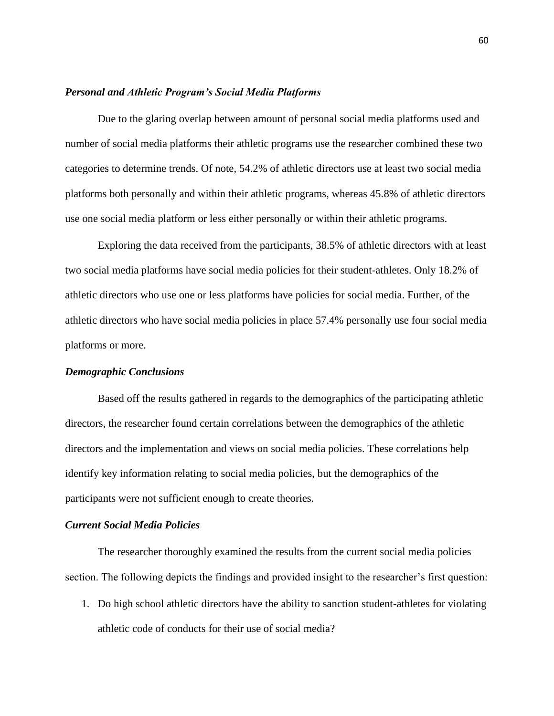## *Personal and Athletic Program's Social Media Platforms*

Due to the glaring overlap between amount of personal social media platforms used and number of social media platforms their athletic programs use the researcher combined these two categories to determine trends. Of note, 54.2% of athletic directors use at least two social media platforms both personally and within their athletic programs, whereas 45.8% of athletic directors use one social media platform or less either personally or within their athletic programs.

Exploring the data received from the participants, 38.5% of athletic directors with at least two social media platforms have social media policies for their student-athletes. Only 18.2% of athletic directors who use one or less platforms have policies for social media. Further, of the athletic directors who have social media policies in place 57.4% personally use four social media platforms or more.

#### *Demographic Conclusions*

Based off the results gathered in regards to the demographics of the participating athletic directors, the researcher found certain correlations between the demographics of the athletic directors and the implementation and views on social media policies. These correlations help identify key information relating to social media policies, but the demographics of the participants were not sufficient enough to create theories.

## *Current Social Media Policies*

The researcher thoroughly examined the results from the current social media policies section. The following depicts the findings and provided insight to the researcher's first question:

1. Do high school athletic directors have the ability to sanction student-athletes for violating athletic code of conducts for their use of social media?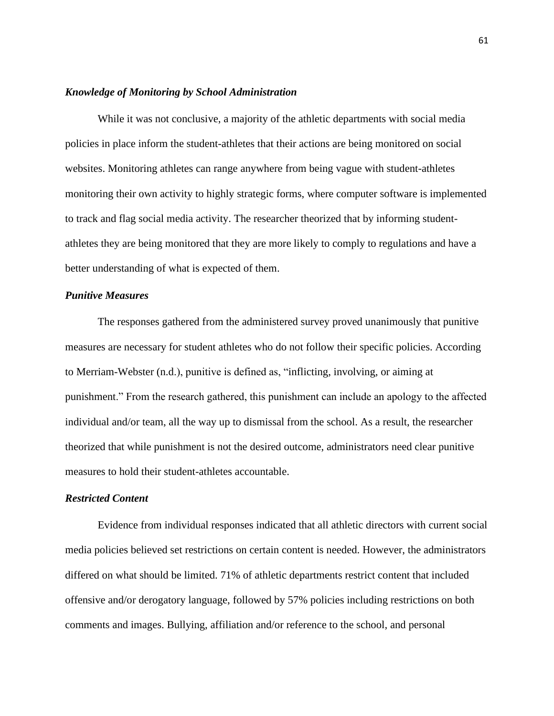#### *Knowledge of Monitoring by School Administration*

While it was not conclusive, a majority of the athletic departments with social media policies in place inform the student-athletes that their actions are being monitored on social websites. Monitoring athletes can range anywhere from being vague with student-athletes monitoring their own activity to highly strategic forms, where computer software is implemented to track and flag social media activity. The researcher theorized that by informing studentathletes they are being monitored that they are more likely to comply to regulations and have a better understanding of what is expected of them.

## *Punitive Measures*

The responses gathered from the administered survey proved unanimously that punitive measures are necessary for student athletes who do not follow their specific policies. According to Merriam-Webster (n.d.), punitive is defined as, "inflicting, involving, or aiming at punishment." From the research gathered, this punishment can include an apology to the affected individual and/or team, all the way up to dismissal from the school. As a result, the researcher theorized that while punishment is not the desired outcome, administrators need clear punitive measures to hold their student-athletes accountable.

## *Restricted Content*

Evidence from individual responses indicated that all athletic directors with current social media policies believed set restrictions on certain content is needed. However, the administrators differed on what should be limited. 71% of athletic departments restrict content that included offensive and/or derogatory language, followed by 57% policies including restrictions on both comments and images. Bullying, affiliation and/or reference to the school, and personal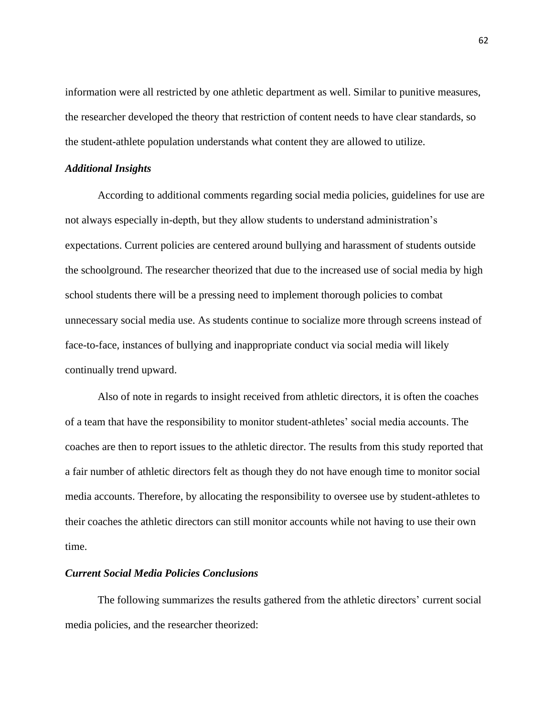information were all restricted by one athletic department as well. Similar to punitive measures, the researcher developed the theory that restriction of content needs to have clear standards, so the student-athlete population understands what content they are allowed to utilize.

## *Additional Insights*

According to additional comments regarding social media policies, guidelines for use are not always especially in-depth, but they allow students to understand administration's expectations. Current policies are centered around bullying and harassment of students outside the schoolground. The researcher theorized that due to the increased use of social media by high school students there will be a pressing need to implement thorough policies to combat unnecessary social media use. As students continue to socialize more through screens instead of face-to-face, instances of bullying and inappropriate conduct via social media will likely continually trend upward.

Also of note in regards to insight received from athletic directors, it is often the coaches of a team that have the responsibility to monitor student-athletes' social media accounts. The coaches are then to report issues to the athletic director. The results from this study reported that a fair number of athletic directors felt as though they do not have enough time to monitor social media accounts. Therefore, by allocating the responsibility to oversee use by student-athletes to their coaches the athletic directors can still monitor accounts while not having to use their own time.

## *Current Social Media Policies Conclusions*

The following summarizes the results gathered from the athletic directors' current social media policies, and the researcher theorized: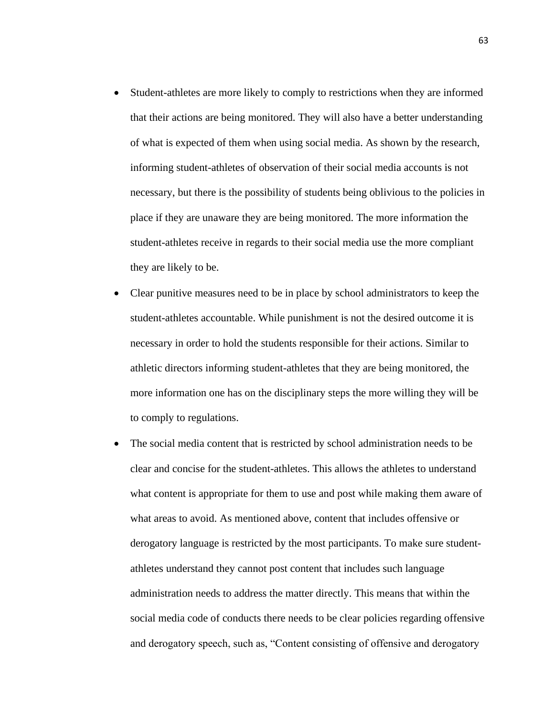- Student-athletes are more likely to comply to restrictions when they are informed that their actions are being monitored. They will also have a better understanding of what is expected of them when using social media. As shown by the research, informing student-athletes of observation of their social media accounts is not necessary, but there is the possibility of students being oblivious to the policies in place if they are unaware they are being monitored. The more information the student-athletes receive in regards to their social media use the more compliant they are likely to be.
- Clear punitive measures need to be in place by school administrators to keep the student-athletes accountable. While punishment is not the desired outcome it is necessary in order to hold the students responsible for their actions. Similar to athletic directors informing student-athletes that they are being monitored, the more information one has on the disciplinary steps the more willing they will be to comply to regulations.
- The social media content that is restricted by school administration needs to be clear and concise for the student-athletes. This allows the athletes to understand what content is appropriate for them to use and post while making them aware of what areas to avoid. As mentioned above, content that includes offensive or derogatory language is restricted by the most participants. To make sure studentathletes understand they cannot post content that includes such language administration needs to address the matter directly. This means that within the social media code of conducts there needs to be clear policies regarding offensive and derogatory speech, such as, "Content consisting of offensive and derogatory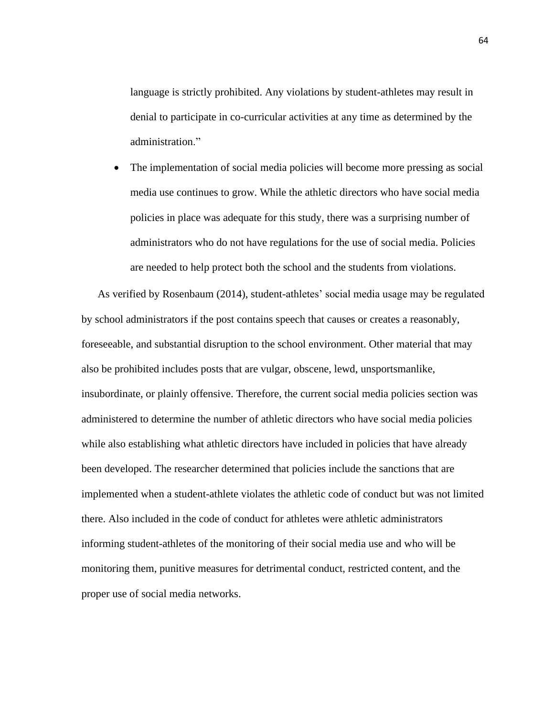language is strictly prohibited. Any violations by student-athletes may result in denial to participate in co-curricular activities at any time as determined by the administration."

• The implementation of social media policies will become more pressing as social media use continues to grow. While the athletic directors who have social media policies in place was adequate for this study, there was a surprising number of administrators who do not have regulations for the use of social media. Policies are needed to help protect both the school and the students from violations.

As verified by Rosenbaum (2014), student-athletes' social media usage may be regulated by school administrators if the post contains speech that causes or creates a reasonably, foreseeable, and substantial disruption to the school environment. Other material that may also be prohibited includes posts that are vulgar, obscene, lewd, unsportsmanlike, insubordinate, or plainly offensive. Therefore, the current social media policies section was administered to determine the number of athletic directors who have social media policies while also establishing what athletic directors have included in policies that have already been developed. The researcher determined that policies include the sanctions that are implemented when a student-athlete violates the athletic code of conduct but was not limited there. Also included in the code of conduct for athletes were athletic administrators informing student-athletes of the monitoring of their social media use and who will be monitoring them, punitive measures for detrimental conduct, restricted content, and the proper use of social media networks.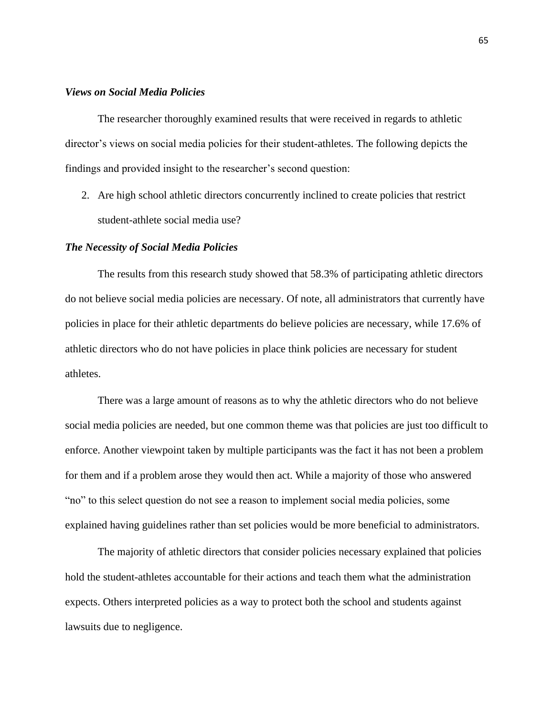## *Views on Social Media Policies*

The researcher thoroughly examined results that were received in regards to athletic director's views on social media policies for their student-athletes. The following depicts the findings and provided insight to the researcher's second question:

2. Are high school athletic directors concurrently inclined to create policies that restrict student-athlete social media use?

#### *The Necessity of Social Media Policies*

The results from this research study showed that 58.3% of participating athletic directors do not believe social media policies are necessary. Of note, all administrators that currently have policies in place for their athletic departments do believe policies are necessary, while 17.6% of athletic directors who do not have policies in place think policies are necessary for student athletes.

There was a large amount of reasons as to why the athletic directors who do not believe social media policies are needed, but one common theme was that policies are just too difficult to enforce. Another viewpoint taken by multiple participants was the fact it has not been a problem for them and if a problem arose they would then act. While a majority of those who answered "no" to this select question do not see a reason to implement social media policies, some explained having guidelines rather than set policies would be more beneficial to administrators.

The majority of athletic directors that consider policies necessary explained that policies hold the student-athletes accountable for their actions and teach them what the administration expects. Others interpreted policies as a way to protect both the school and students against lawsuits due to negligence.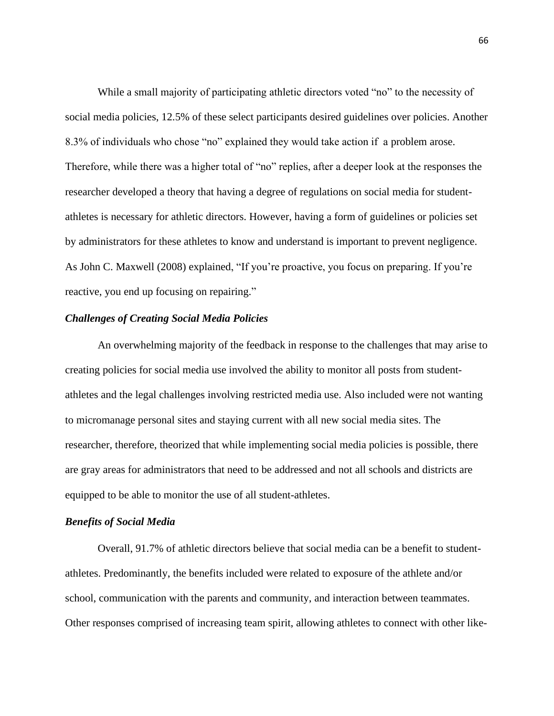While a small majority of participating athletic directors voted "no" to the necessity of social media policies, 12.5% of these select participants desired guidelines over policies. Another 8.3% of individuals who chose "no" explained they would take action if a problem arose. Therefore, while there was a higher total of "no" replies, after a deeper look at the responses the researcher developed a theory that having a degree of regulations on social media for studentathletes is necessary for athletic directors. However, having a form of guidelines or policies set by administrators for these athletes to know and understand is important to prevent negligence. As John C. Maxwell (2008) explained, "If you're proactive, you focus on preparing. If you're reactive, you end up focusing on repairing."

## *Challenges of Creating Social Media Policies*

An overwhelming majority of the feedback in response to the challenges that may arise to creating policies for social media use involved the ability to monitor all posts from studentathletes and the legal challenges involving restricted media use. Also included were not wanting to micromanage personal sites and staying current with all new social media sites. The researcher, therefore, theorized that while implementing social media policies is possible, there are gray areas for administrators that need to be addressed and not all schools and districts are equipped to be able to monitor the use of all student-athletes.

### *Benefits of Social Media*

Overall, 91.7% of athletic directors believe that social media can be a benefit to studentathletes. Predominantly, the benefits included were related to exposure of the athlete and/or school, communication with the parents and community, and interaction between teammates. Other responses comprised of increasing team spirit, allowing athletes to connect with other like-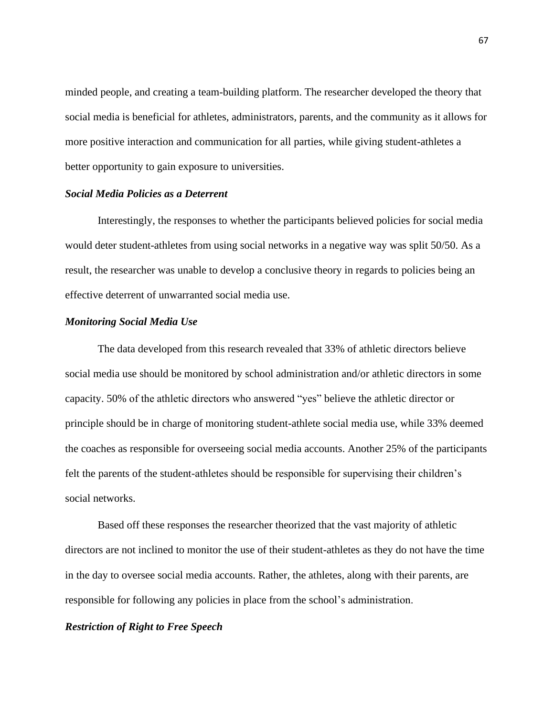minded people, and creating a team-building platform. The researcher developed the theory that social media is beneficial for athletes, administrators, parents, and the community as it allows for more positive interaction and communication for all parties, while giving student-athletes a better opportunity to gain exposure to universities.

## *Social Media Policies as a Deterrent*

Interestingly, the responses to whether the participants believed policies for social media would deter student-athletes from using social networks in a negative way was split 50/50. As a result, the researcher was unable to develop a conclusive theory in regards to policies being an effective deterrent of unwarranted social media use.

#### *Monitoring Social Media Use*

The data developed from this research revealed that 33% of athletic directors believe social media use should be monitored by school administration and/or athletic directors in some capacity. 50% of the athletic directors who answered "yes" believe the athletic director or principle should be in charge of monitoring student-athlete social media use, while 33% deemed the coaches as responsible for overseeing social media accounts. Another 25% of the participants felt the parents of the student-athletes should be responsible for supervising their children's social networks.

Based off these responses the researcher theorized that the vast majority of athletic directors are not inclined to monitor the use of their student-athletes as they do not have the time in the day to oversee social media accounts. Rather, the athletes, along with their parents, are responsible for following any policies in place from the school's administration.

## *Restriction of Right to Free Speech*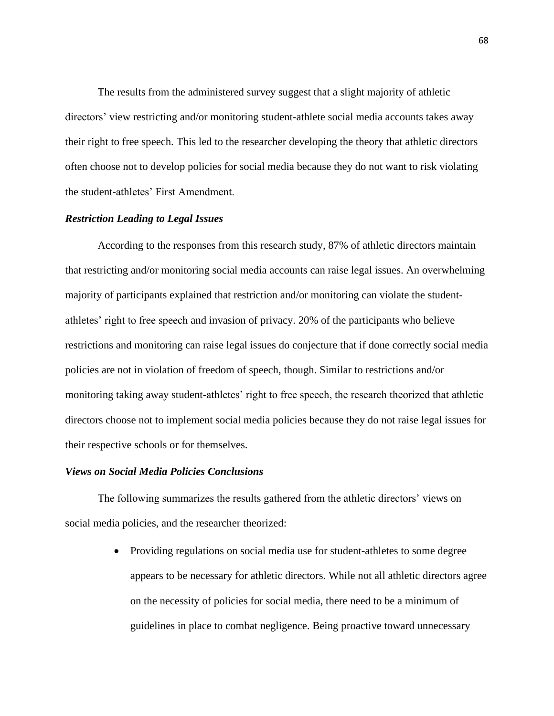The results from the administered survey suggest that a slight majority of athletic directors' view restricting and/or monitoring student-athlete social media accounts takes away their right to free speech. This led to the researcher developing the theory that athletic directors often choose not to develop policies for social media because they do not want to risk violating the student-athletes' First Amendment.

## *Restriction Leading to Legal Issues*

According to the responses from this research study, 87% of athletic directors maintain that restricting and/or monitoring social media accounts can raise legal issues. An overwhelming majority of participants explained that restriction and/or monitoring can violate the studentathletes' right to free speech and invasion of privacy. 20% of the participants who believe restrictions and monitoring can raise legal issues do conjecture that if done correctly social media policies are not in violation of freedom of speech, though. Similar to restrictions and/or monitoring taking away student-athletes' right to free speech, the research theorized that athletic directors choose not to implement social media policies because they do not raise legal issues for their respective schools or for themselves.

# *Views on Social Media Policies Conclusions*

The following summarizes the results gathered from the athletic directors' views on social media policies, and the researcher theorized:

> • Providing regulations on social media use for student-athletes to some degree appears to be necessary for athletic directors. While not all athletic directors agree on the necessity of policies for social media, there need to be a minimum of guidelines in place to combat negligence. Being proactive toward unnecessary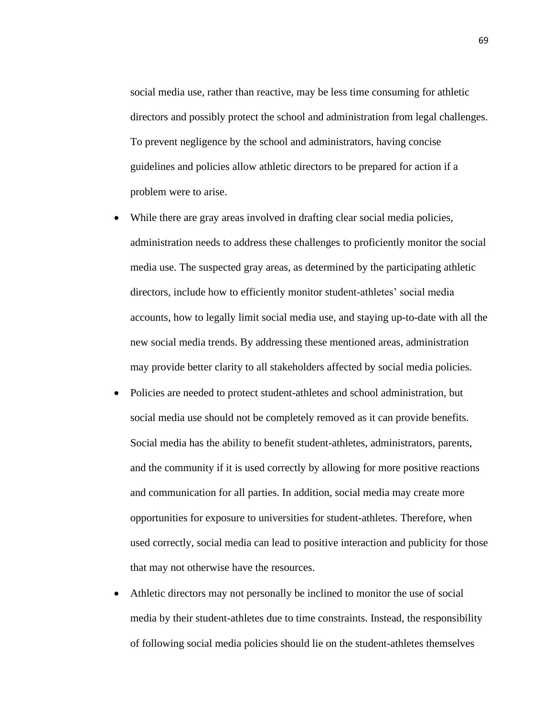social media use, rather than reactive, may be less time consuming for athletic directors and possibly protect the school and administration from legal challenges. To prevent negligence by the school and administrators, having concise guidelines and policies allow athletic directors to be prepared for action if a problem were to arise.

- While there are gray areas involved in drafting clear social media policies, administration needs to address these challenges to proficiently monitor the social media use. The suspected gray areas, as determined by the participating athletic directors, include how to efficiently monitor student-athletes' social media accounts, how to legally limit social media use, and staying up-to-date with all the new social media trends. By addressing these mentioned areas, administration may provide better clarity to all stakeholders affected by social media policies.
- Policies are needed to protect student-athletes and school administration, but social media use should not be completely removed as it can provide benefits. Social media has the ability to benefit student-athletes, administrators, parents, and the community if it is used correctly by allowing for more positive reactions and communication for all parties. In addition, social media may create more opportunities for exposure to universities for student-athletes. Therefore, when used correctly, social media can lead to positive interaction and publicity for those that may not otherwise have the resources.
- Athletic directors may not personally be inclined to monitor the use of social media by their student-athletes due to time constraints. Instead, the responsibility of following social media policies should lie on the student-athletes themselves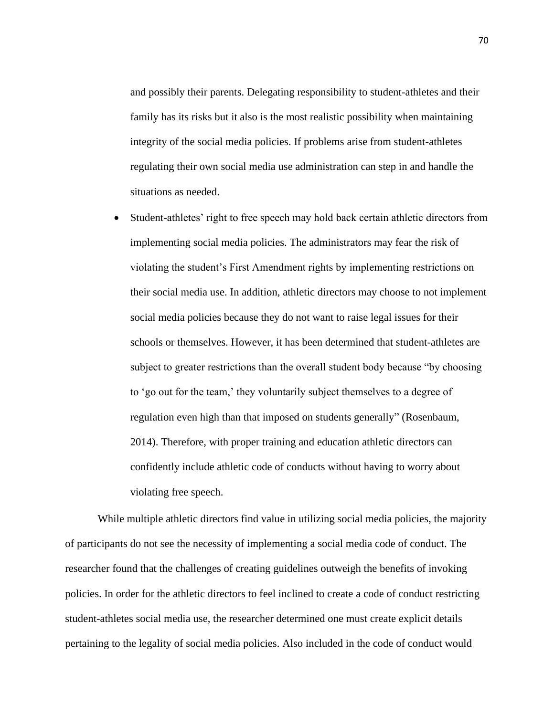and possibly their parents. Delegating responsibility to student-athletes and their family has its risks but it also is the most realistic possibility when maintaining integrity of the social media policies. If problems arise from student-athletes regulating their own social media use administration can step in and handle the situations as needed.

• Student-athletes' right to free speech may hold back certain athletic directors from implementing social media policies. The administrators may fear the risk of violating the student's First Amendment rights by implementing restrictions on their social media use. In addition, athletic directors may choose to not implement social media policies because they do not want to raise legal issues for their schools or themselves. However, it has been determined that student-athletes are subject to greater restrictions than the overall student body because "by choosing to 'go out for the team,' they voluntarily subject themselves to a degree of regulation even high than that imposed on students generally" (Rosenbaum, 2014). Therefore, with proper training and education athletic directors can confidently include athletic code of conducts without having to worry about violating free speech.

While multiple athletic directors find value in utilizing social media policies, the majority of participants do not see the necessity of implementing a social media code of conduct. The researcher found that the challenges of creating guidelines outweigh the benefits of invoking policies. In order for the athletic directors to feel inclined to create a code of conduct restricting student-athletes social media use, the researcher determined one must create explicit details pertaining to the legality of social media policies. Also included in the code of conduct would

70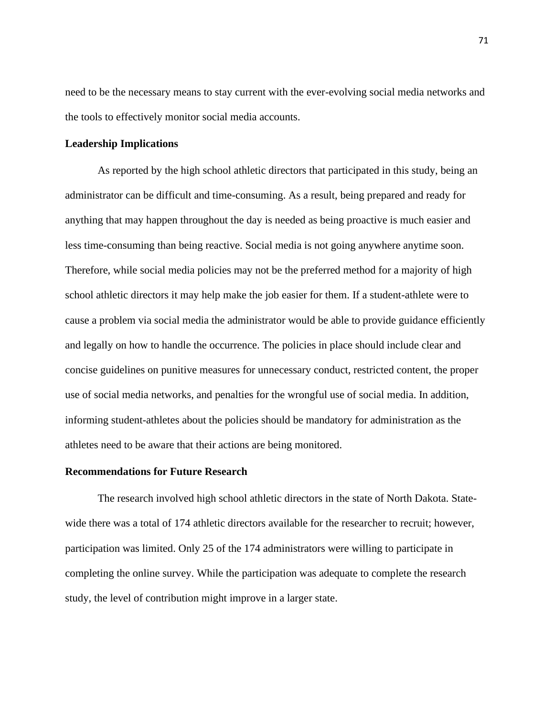need to be the necessary means to stay current with the ever-evolving social media networks and the tools to effectively monitor social media accounts.

## **Leadership Implications**

As reported by the high school athletic directors that participated in this study, being an administrator can be difficult and time-consuming. As a result, being prepared and ready for anything that may happen throughout the day is needed as being proactive is much easier and less time-consuming than being reactive. Social media is not going anywhere anytime soon. Therefore, while social media policies may not be the preferred method for a majority of high school athletic directors it may help make the job easier for them. If a student-athlete were to cause a problem via social media the administrator would be able to provide guidance efficiently and legally on how to handle the occurrence. The policies in place should include clear and concise guidelines on punitive measures for unnecessary conduct, restricted content, the proper use of social media networks, and penalties for the wrongful use of social media. In addition, informing student-athletes about the policies should be mandatory for administration as the athletes need to be aware that their actions are being monitored.

#### **Recommendations for Future Research**

The research involved high school athletic directors in the state of North Dakota. Statewide there was a total of 174 athletic directors available for the researcher to recruit; however, participation was limited. Only 25 of the 174 administrators were willing to participate in completing the online survey. While the participation was adequate to complete the research study, the level of contribution might improve in a larger state.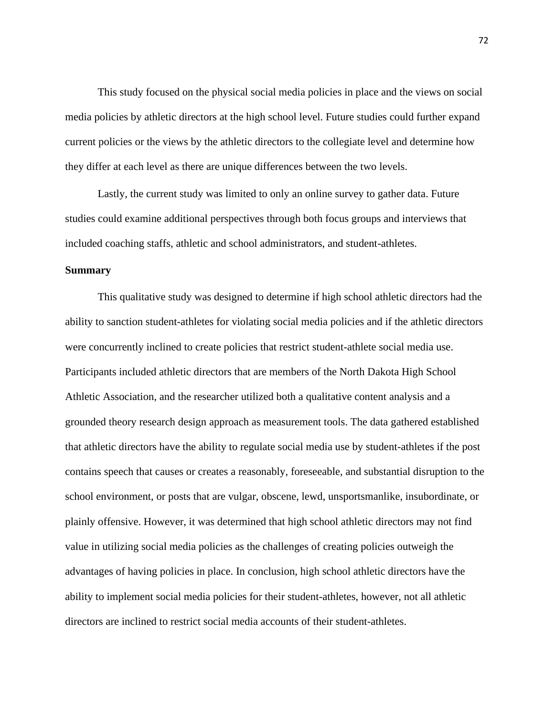This study focused on the physical social media policies in place and the views on social media policies by athletic directors at the high school level. Future studies could further expand current policies or the views by the athletic directors to the collegiate level and determine how they differ at each level as there are unique differences between the two levels.

Lastly, the current study was limited to only an online survey to gather data. Future studies could examine additional perspectives through both focus groups and interviews that included coaching staffs, athletic and school administrators, and student-athletes.

## **Summary**

This qualitative study was designed to determine if high school athletic directors had the ability to sanction student-athletes for violating social media policies and if the athletic directors were concurrently inclined to create policies that restrict student-athlete social media use. Participants included athletic directors that are members of the North Dakota High School Athletic Association, and the researcher utilized both a qualitative content analysis and a grounded theory research design approach as measurement tools. The data gathered established that athletic directors have the ability to regulate social media use by student-athletes if the post contains speech that causes or creates a reasonably, foreseeable, and substantial disruption to the school environment, or posts that are vulgar, obscene, lewd, unsportsmanlike, insubordinate, or plainly offensive. However, it was determined that high school athletic directors may not find value in utilizing social media policies as the challenges of creating policies outweigh the advantages of having policies in place. In conclusion, high school athletic directors have the ability to implement social media policies for their student-athletes, however, not all athletic directors are inclined to restrict social media accounts of their student-athletes.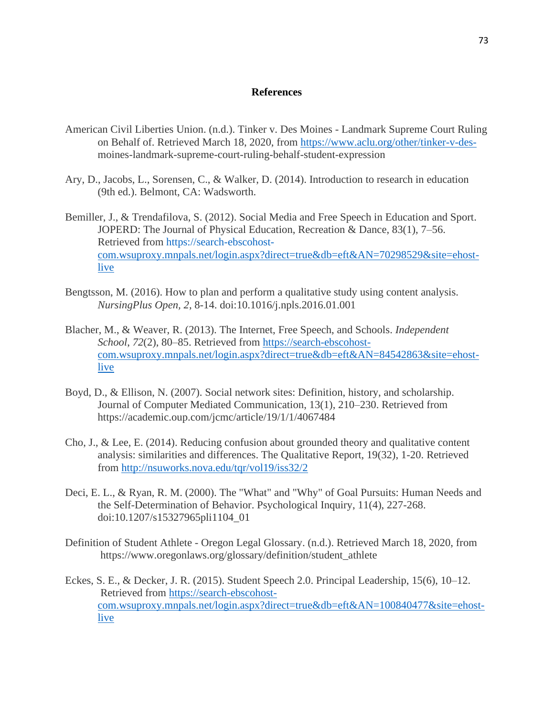## **References**

- American Civil Liberties Union. (n.d.). Tinker v. Des Moines Landmark Supreme Court Ruling on Behalf of. Retrieved March 18, 2020, from [https://www.aclu.org/other/tinker-v-des](https://www.aclu.org/other/tinker-v-des-)moines-landmark-supreme-court-ruling-behalf-student-expression
- Ary, D., Jacobs, L., Sorensen, C., & Walker, D. (2014). Introduction to research in education (9th ed.). Belmont, CA: Wadsworth.
- Bemiller, J., & Trendafilova, S. (2012). Social Media and Free Speech in Education and Sport. JOPERD: The Journal of Physical Education, Recreation & Dance, 83(1), 7–56. Retrieved from https://search-ebscohostcom.wsuproxy.mnpals.net/login.aspx?direct=true&db=eft&AN=70298529&site=ehostlive
- Bengtsson, M. (2016). How to plan and perform a qualitative study using content analysis. *NursingPlus Open, 2*, 8-14. doi:10.1016/j.npls.2016.01.001
- Blacher, M., & Weaver, R. (2013). The Internet, Free Speech, and Schools. *Independent School*, *72*(2), 80–85. Retrieved from [https://search-ebscohost](https://search-ebscohost-com.wsuproxy.mnpals.net/login.aspx?direct=true&db=eft&AN=84542863&site=ehost-live)[com.wsuproxy.mnpals.net/login.aspx?direct=true&db=eft&AN=84542863&site=ehost](https://search-ebscohost-com.wsuproxy.mnpals.net/login.aspx?direct=true&db=eft&AN=84542863&site=ehost-live)[live](https://search-ebscohost-com.wsuproxy.mnpals.net/login.aspx?direct=true&db=eft&AN=84542863&site=ehost-live)
- Boyd, D., & Ellison, N. (2007). Social network sites: Definition, history, and scholarship. Journal of Computer Mediated Communication, 13(1), 210–230. Retrieved from https://academic.oup.com/jcmc/article/19/1/1/4067484
- Cho, J., & Lee, E. (2014). Reducing confusion about grounded theory and qualitative content analysis: similarities and differences. The Qualitative Report, 19(32), 1-20. Retrieved from<http://nsuworks.nova.edu/tqr/vol19/iss32/2>
- Deci, E. L., & Ryan, R. M. (2000). The "What" and "Why" of Goal Pursuits: Human Needs and the Self-Determination of Behavior. Psychological Inquiry, 11(4), 227-268. doi:10.1207/s15327965pli1104\_01
- Definition of Student Athlete Oregon Legal Glossary. (n.d.). Retrieved March 18, 2020, from https://www.oregonlaws.org/glossary/definition/student\_athlete
- Eckes, S. E., & Decker, J. R. (2015). Student Speech 2.0. Principal Leadership, 15(6), 10–12. Retrieved from https://search-ebscohostcom.wsuproxy.mnpals.net/login.aspx?direct=true&db=eft&AN=100840477&site=ehostlive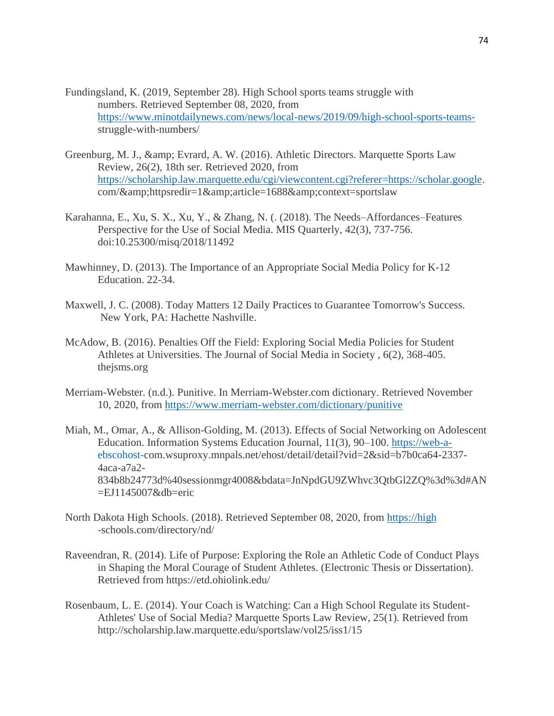- Fundingsland, K. (2019, September 28). High School sports teams struggle with numbers. Retrieved September 08, 2020, from [https://www.minotdailynews.com/news/local-news/2019/09/high-school-sports-teams](https://www.minotdailynews.com/news/local-news/2019/09/high-school-sports-teams-)struggle-with-numbers/
- Greenburg, M. J., & amp; Evrard, A. W. (2016). Athletic Directors. Marquette Sports Law Review, 26(2), 18th ser. Retrieved 2020, from [https://scholarship.law.marquette.edu/cgi/viewcontent.cgi?referer=https://scholar.google.](https://scholarship.law.marquette.edu/cgi/viewcontent.cgi?referer=https://scholar.google) com/&httpsredir=1&article=1688&context=sportslaw
- Karahanna, E., Xu, S. X., Xu, Y., & Zhang, N. (. (2018). The Needs–Affordances–Features Perspective for the Use of Social Media. MIS Quarterly, 42(3), 737-756. doi:10.25300/misq/2018/11492
- Mawhinney, D. (2013). The Importance of an Appropriate Social Media Policy for K-12 Education. 22-34.
- Maxwell, J. C. (2008). Today Matters 12 Daily Practices to Guarantee Tomorrow's Success. New York, PA: Hachette Nashville.
- McAdow, B. (2016). Penalties Off the Field: Exploring Social Media Policies for Student Athletes at Universities. The Journal of Social Media in Society , 6(2), 368-405. thejsms.org
- Merriam-Webster. (n.d.). Punitive. In Merriam-Webster.com dictionary. Retrieved November 10, 2020, from<https://www.merriam-webster.com/dictionary/punitive>
- Miah, M., Omar, A., & Allison-Golding, M. (2013). Effects of Social Networking on Adolescent Education. Information Systems Education Journal, 11(3), 90–100. https://web-aebscohost-com.wsuproxy.mnpals.net/ehost/detail/detail?vid=2&sid=b7b0ca64-2337- 4aca-a7a2- 834b8b24773d%40sessionmgr4008&bdata=JnNpdGU9ZWhvc3QtbGl2ZQ%3d%3d#AN =EJ1145007&db=eric
- North Dakota High Schools. (2018). Retrieved September 08, 2020, from https://high -schools.com/directory/nd/
- Raveendran, R. (2014). Life of Purpose: Exploring the Role an Athletic Code of Conduct Plays in Shaping the Moral Courage of Student Athletes. (Electronic Thesis or Dissertation). Retrieved from https://etd.ohiolink.edu/
- Rosenbaum, L. E. (2014). Your Coach is Watching: Can a High School Regulate its Student-Athletes' Use of Social Media? Marquette Sports Law Review, 25(1). Retrieved from http://scholarship.law.marquette.edu/sportslaw/vol25/iss1/15